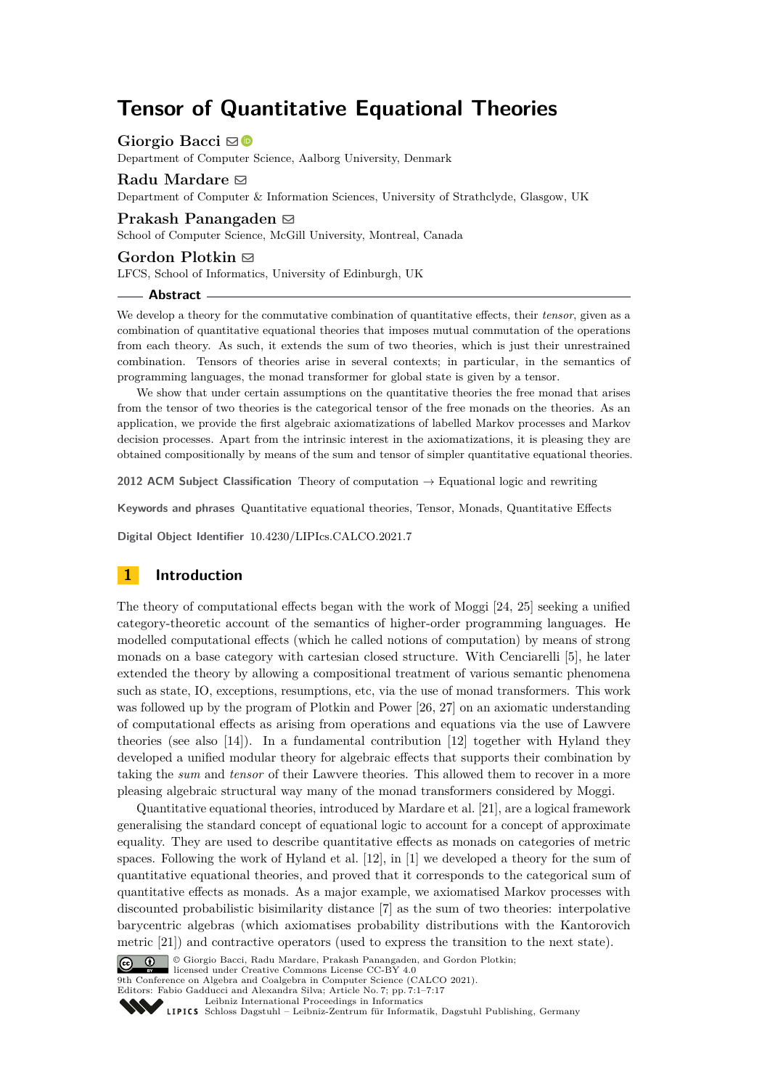# **Tensor of Quantitative Equational Theories**

Giorgio Bacci ⊠<sup>®</sup>

Department of Computer Science, Aalborg University, Denmark

#### **Radu Mardare ⊠**

Department of Computer & Information Sciences, University of Strathclyde, Glasgow, UK

## **Prakash Panangaden** ⊠

School of Computer Science, McGill University, Montreal, Canada

#### **Gordon Plotkin** ⊠

LFCS, School of Informatics, University of Edinburgh, UK

#### **Abstract**

We develop a theory for the commutative combination of quantitative effects, their *tensor*, given as a combination of quantitative equational theories that imposes mutual commutation of the operations from each theory. As such, it extends the sum of two theories, which is just their unrestrained combination. Tensors of theories arise in several contexts; in particular, in the semantics of programming languages, the monad transformer for global state is given by a tensor.

We show that under certain assumptions on the quantitative theories the free monad that arises from the tensor of two theories is the categorical tensor of the free monads on the theories. As an application, we provide the first algebraic axiomatizations of labelled Markov processes and Markov decision processes. Apart from the intrinsic interest in the axiomatizations, it is pleasing they are obtained compositionally by means of the sum and tensor of simpler quantitative equational theories.

**2012 ACM Subject Classification** Theory of computation → Equational logic and rewriting

**Keywords and phrases** Quantitative equational theories, Tensor, Monads, Quantitative Effects

**Digital Object Identifier** [10.4230/LIPIcs.CALCO.2021.7](https://doi.org/10.4230/LIPIcs.CALCO.2021.7)

# **1 Introduction**

The theory of computational effects began with the work of Moggi [\[24,](#page-15-0) [25\]](#page-16-0) seeking a unified category-theoretic account of the semantics of higher-order programming languages. He modelled computational effects (which he called notions of computation) by means of strong monads on a base category with cartesian closed structure. With Cenciarelli [\[5\]](#page-15-1), he later extended the theory by allowing a compositional treatment of various semantic phenomena such as state, IO, exceptions, resumptions, etc, via the use of monad transformers. This work was followed up by the program of Plotkin and Power [\[26,](#page-16-1) [27\]](#page-16-2) on an axiomatic understanding of computational effects as arising from operations and equations via the use of Lawvere theories (see also [\[14\]](#page-15-2)). In a fundamental contribution [\[12\]](#page-15-3) together with Hyland they developed a unified modular theory for algebraic effects that supports their combination by taking the *sum* and *tensor* of their Lawvere theories. This allowed them to recover in a more pleasing algebraic structural way many of the monad transformers considered by Moggi.

Quantitative equational theories, introduced by Mardare et al. [\[21\]](#page-15-4), are a logical framework generalising the standard concept of equational logic to account for a concept of approximate equality. They are used to describe quantitative effects as monads on categories of metric spaces. Following the work of Hyland et al. [\[12\]](#page-15-3), in [\[1\]](#page-15-5) we developed a theory for the sum of quantitative equational theories, and proved that it corresponds to the categorical sum of quantitative effects as monads. As a major example, we axiomatised Markov processes with discounted probabilistic bisimilarity distance [\[7\]](#page-15-6) as the sum of two theories: interpolative barycentric algebras (which axiomatises probability distributions with the Kantorovich metric [\[21\]](#page-15-4)) and contractive operators (used to express the transition to the next state).



licensed under Creative Commons License CC-BY 4.0 9th Conference on Algebra and Coalgebra in Computer Science (CALCO 2021).

Editors: Fabio Gadducci and Alexandra Silva; Article No. 7; pp. 7:1–7:17

[Leibniz International Proceedings in Informatics](https://www.dagstuhl.de/lipics/)



Leibniz international ruceedings in miorimetric<br>
LIPICS [Schloss Dagstuhl – Leibniz-Zentrum für Informatik, Dagstuhl Publishing, Germany](https://www.dagstuhl.de)

© Giorgio Bacci, Radu Mardare, Prakash Panangaden, and Gordon Plotkin;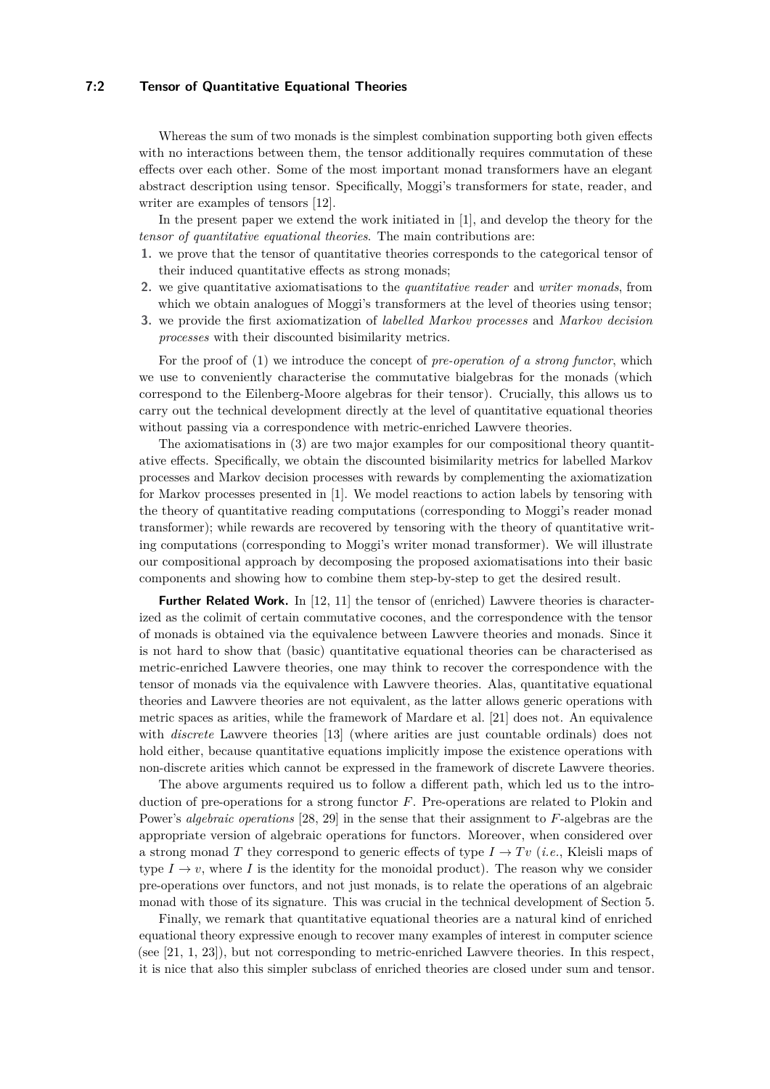# **7:2 Tensor of Quantitative Equational Theories**

Whereas the sum of two monads is the simplest combination supporting both given effects with no interactions between them, the tensor additionally requires commutation of these effects over each other. Some of the most important monad transformers have an elegant abstract description using tensor. Specifically, Moggi's transformers for state, reader, and writer are examples of tensors [\[12\]](#page-15-3).

In the present paper we extend the work initiated in [\[1\]](#page-15-5), and develop the theory for the *tensor of quantitative equational theories*. The main contributions are:

- <span id="page-1-0"></span>**1.** we prove that the tensor of quantitative theories corresponds to the categorical tensor of their induced quantitative effects as strong monads;
- **2.** we give quantitative axiomatisations to the *quantitative reader* and *writer monads*, from which we obtain analogues of Moggi's transformers at the level of theories using tensor;
- <span id="page-1-1"></span>**3.** we provide the first axiomatization of *labelled Markov processes* and *Markov decision processes* with their discounted bisimilarity metrics.

For the proof of [\(1\)](#page-1-0) we introduce the concept of *pre-operation of a strong functor*, which we use to conveniently characterise the commutative bialgebras for the monads (which correspond to the Eilenberg-Moore algebras for their tensor). Crucially, this allows us to carry out the technical development directly at the level of quantitative equational theories without passing via a correspondence with metric-enriched Lawvere theories.

The axiomatisations in [\(3\)](#page-1-1) are two major examples for our compositional theory quantitative effects. Specifically, we obtain the discounted bisimilarity metrics for labelled Markov processes and Markov decision processes with rewards by complementing the axiomatization for Markov processes presented in [\[1\]](#page-15-5). We model reactions to action labels by tensoring with the theory of quantitative reading computations (corresponding to Moggi's reader monad transformer); while rewards are recovered by tensoring with the theory of quantitative writing computations (corresponding to Moggi's writer monad transformer). We will illustrate our compositional approach by decomposing the proposed axiomatisations into their basic components and showing how to combine them step-by-step to get the desired result.

**Further Related Work.** In [\[12,](#page-15-3) [11\]](#page-15-7) the tensor of (enriched) Lawvere theories is characterized as the colimit of certain commutative cocones, and the correspondence with the tensor of monads is obtained via the equivalence between Lawvere theories and monads. Since it is not hard to show that (basic) quantitative equational theories can be characterised as metric-enriched Lawvere theories, one may think to recover the correspondence with the tensor of monads via the equivalence with Lawvere theories. Alas, quantitative equational theories and Lawvere theories are not equivalent, as the latter allows generic operations with metric spaces as arities, while the framework of Mardare et al. [\[21\]](#page-15-4) does not. An equivalence with *discrete* Lawvere theories [\[13\]](#page-15-8) (where arities are just countable ordinals) does not hold either, because quantitative equations implicitly impose the existence operations with non-discrete arities which cannot be expressed in the framework of discrete Lawvere theories.

The above arguments required us to follow a different path, which led us to the introduction of pre-operations for a strong functor *F*. Pre-operations are related to Plokin and Power's *algebraic operations* [\[28,](#page-16-3) [29\]](#page-16-4) in the sense that their assignment to *F*-algebras are the appropriate version of algebraic operations for functors. Moreover, when considered over a strong monad *T* they correspond to generic effects of type  $I \to Tv$  (*i.e.*, Kleisli maps of type  $I \rightarrow v$ , where *I* is the identity for the monoidal product). The reason why we consider pre-operations over functors, and not just monads, is to relate the operations of an algebraic monad with those of its signature. This was crucial in the technical development of Section [5.](#page-6-0)

Finally, we remark that quantitative equational theories are a natural kind of enriched equational theory expressive enough to recover many examples of interest in computer science (see [\[21,](#page-15-4) [1,](#page-15-5) [23\]](#page-15-9)), but not corresponding to metric-enriched Lawvere theories. In this respect, it is nice that also this simpler subclass of enriched theories are closed under sum and tensor.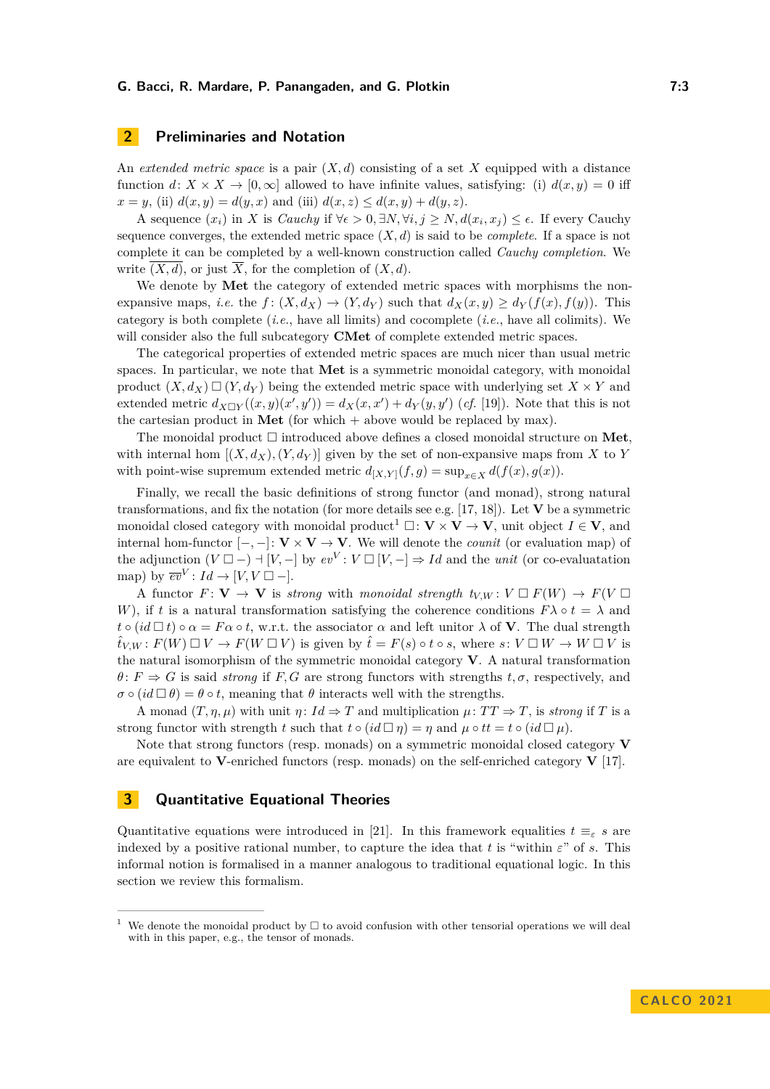# **2 Preliminaries and Notation**

An *extended metric space* is a pair (*X, d*) consisting of a set *X* equipped with a distance function  $d: X \times X \to [0, \infty]$  allowed to have infinite values, satisfying: (i)  $d(x, y) = 0$  iff  $x = y$ , (ii)  $d(x, y) = d(y, x)$  and (iii)  $d(x, z) \leq d(x, y) + d(y, z)$ .

A sequence  $(x_i)$  in *X* is *Cauchy* if  $\forall \epsilon > 0, \exists N, \forall i, j \ge N, d(x_i, x_j) \le \epsilon$ . If every Cauchy sequence converges, the extended metric space  $(X, d)$  is said to be *complete*. If a space is not complete it can be completed by a well-known construction called *Cauchy completion*. We write  $\overline{(X,d)}$ , or just  $\overline{X}$ , for the completion of  $(X,d)$ .

We denote by **Met** the category of extended metric spaces with morphisms the nonexpansive maps, *i.e.* the  $f: (X, d_X) \to (Y, d_Y)$  such that  $d_X(x, y) \ge d_Y(f(x), f(y))$ . This category is both complete (*i.e.*, have all limits) and cocomplete (*i.e.*, have all colimits). We will consider also the full subcategory **CMet** of complete extended metric spaces.

The categorical properties of extended metric spaces are much nicer than usual metric spaces. In particular, we note that **Met** is a symmetric monoidal category, with monoidal product  $(X, d_X) \square (Y, d_Y)$  being the extended metric space with underlying set  $X \times Y$  and extended metric  $d_{X\Box Y}((x,y)(x',y')) = d_X(x,x') + d_Y(y,y')$  (*cf.* [\[19\]](#page-15-10)). Note that this is not the cartesian product in **Met** (for which + above would be replaced by max).

The monoidal product □ introduced above defines a closed monoidal structure on **Met**, with internal hom  $[(X, d_X), (Y, d_Y)]$  given by the set of non-expansive maps from X to Y with point-wise supremum extended metric  $d_{[X,Y]}(f,g) = \sup_{x \in X} d(f(x), g(x)).$ 

Finally, we recall the basic definitions of strong functor (and monad), strong natural transformations, and fix the notation (for more details see e.g. [\[17,](#page-15-11) [18\]](#page-15-12)). Let **V** be a symmetric monoidal closed category with monoidal product<sup>[1](#page-2-0)</sup>  $\Box: \mathbf{V} \times \mathbf{V} \to \mathbf{V}$ , unit object  $I \in \mathbf{V}$ , and internal hom-functor  $[-,-]: \mathbf{V} \times \mathbf{V} \to \mathbf{V}$ . We will denote the *counit* (or evaluation map) of the adjunction  $(V \square -) \dashv [V, -]$  by  $ev^V : V \square [V, -] \Rightarrow Id$  and the *unit* (or co-evaluatation map) by  $\overline{ev}^V: Id \to [V, V \square -].$ 

A functor  $F: V \to V$  is *strong* with *monoidal strength*  $t_{V,W}: V \square F(W) \to F(V \square)$ *W*), if *t* is a natural transformation satisfying the coherence conditions  $F\lambda \circ t = \lambda$  and  $t \circ (id \Box t) \circ \alpha = F \alpha \circ t$ , w.r.t. the associator  $\alpha$  and left unitor  $\lambda$  of **V**. The dual strength  $\hat{t}_{V,W}: F(W) \square V \rightarrow F(W \square V)$  is given by  $\hat{t} = F(s) \circ t \circ s$ , where  $s: V \square W \rightarrow W \square V$  is the natural isomorphism of the symmetric monoidal category **V**. A natural transformation  $\theta$ :  $F \Rightarrow G$  is said *strong* if *F, G* are strong functors with strengths  $t, \sigma$ , respectively, and  $\sigma \circ (id \Box \theta) = \theta \circ t$ , meaning that  $\theta$  interacts well with the strengths.

A monad  $(T, \eta, \mu)$  with unit  $\eta: Id \Rightarrow T$  and multiplication  $\mu: TT \Rightarrow T$ , is *strong* if *T* is a strong functor with strength *t* such that  $t \circ (id \Box \eta) = \eta$  and  $\mu \circ tt = t \circ (id \Box \mu)$ .

Note that strong functors (resp. monads) on a symmetric monoidal closed category **V** are equivalent to **V**-enriched functors (resp. monads) on the self-enriched category **V** [\[17\]](#page-15-11).

# **3 Quantitative Equational Theories**

Quantitative equations were introduced in [\[21\]](#page-15-4). In this framework equalities  $t \equiv_{\varepsilon} s$  are indexed by a positive rational number, to capture the idea that *t* is "within  $\varepsilon$ " of *s*. This informal notion is formalised in a manner analogous to traditional equational logic. In this section we review this formalism.

<span id="page-2-0"></span><sup>&</sup>lt;sup>1</sup> We denote the monoidal product by  $\Box$  to avoid confusion with other tensorial operations we will deal with in this paper, e.g., the tensor of monads.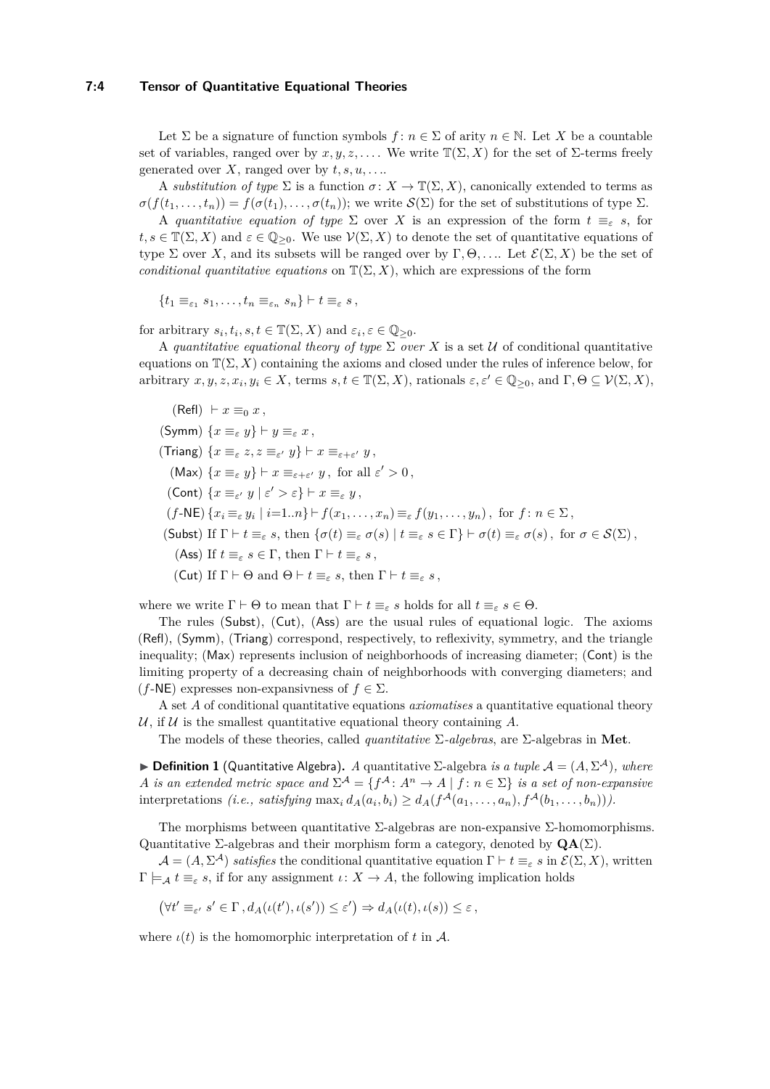## **7:4 Tensor of Quantitative Equational Theories**

Let  $\Sigma$  be a signature of function symbols  $f: n \in \Sigma$  of arity  $n \in \mathbb{N}$ . Let X be a countable set of variables, ranged over by  $x, y, z, \ldots$ . We write  $\mathbb{T}(\Sigma, X)$  for the set of  $\Sigma$ -terms freely generated over *X*, ranged over by  $t, s, u, \ldots$ .

A *substitution of type*  $\Sigma$  is a function  $\sigma: X \to \mathbb{T}(\Sigma, X)$ , canonically extended to terms as  $\sigma(f(t_1,\ldots,t_n)) = f(\sigma(t_1),\ldots,\sigma(t_n));$  we write  $\mathcal{S}(\Sigma)$  for the set of substitutions of type  $\Sigma$ .

A *quantitative equation of type*  $\Sigma$  over *X* is an expression of the form  $t \equiv_{\varepsilon} s$ , for  $t, s \in \mathbb{T}(\Sigma, X)$  and  $\varepsilon \in \mathbb{Q}_{\geq 0}$ . We use  $\mathcal{V}(\Sigma, X)$  to denote the set of quantitative equations of type  $\Sigma$  over X, and its subsets will be ranged over by  $\Gamma, \Theta, \ldots$ . Let  $\mathcal{E}(\Sigma, X)$  be the set of *conditional quantitative equations* on  $\mathbb{T}(\Sigma, X)$ , which are expressions of the form

$$
\{t_1 \equiv_{\varepsilon_1} s_1, \ldots, t_n \equiv_{\varepsilon_n} s_n\} \vdash t \equiv_{\varepsilon} s,
$$

for arbitrary  $s_i, t_i, s, t \in \mathbb{T}(\Sigma, X)$  and  $\varepsilon_i, \varepsilon \in \mathbb{Q}_{\geq 0}$ .

A *quantitative equational theory of type*  $\Sigma$  *over*  $X$  is a set  $U$  of conditional quantitative equations on  $\mathbb{T}(\Sigma, X)$  containing the axioms and closed under the rules of inference below, for arbitrary  $x, y, z, x_i, y_i \in X$ , terms  $s, t \in \mathbb{T}(\Sigma, X)$ , rationals  $\varepsilon, \varepsilon' \in \mathbb{Q}_{\geq 0}$ , and  $\Gamma, \Theta \subseteq \mathcal{V}(\Sigma, X)$ ,

(Ref) 
$$
\vdash x \equiv_0 x
$$
,  
\n(Symm) { $x \equiv_{\varepsilon} y$ }  $\vdash y \equiv_{\varepsilon} x$ ,  
\n(Triang) { $x \equiv_{\varepsilon} z, z \equiv_{\varepsilon'} y$ }  $\vdash x \equiv_{\varepsilon + \varepsilon'} y$ ,  
\n(Max) { $x \equiv_{\varepsilon} y$ }  $\vdash x \equiv_{\varepsilon + \varepsilon'} y$ , for all ε' > 0,  
\n(Cont) { $x \equiv_{\varepsilon'} y \mid \varepsilon' > \varepsilon$ }  $\vdash x \equiv_{\varepsilon} y$ ,  
\n(f-NE) { $x_i \equiv_{\varepsilon} y_i \mid i=1..n$ }  $\vdash f(x_1,...,x_n) \equiv_{\varepsilon} f(y_1,...,y_n)$ , for  $f : n \in \Sigma$ ,  
\n(Subst) If Γ  $\vdash t \equiv_{\varepsilon} s$ , then { $\sigma(t) \equiv_{\varepsilon} \sigma(s) \mid t \equiv_{\varepsilon} s \in \Gamma$ }  $\vdash \sigma(t) \equiv_{\varepsilon} \sigma(s)$ , for  $\sigma \in \mathcal{S}(\Sigma)$ ,  
\n(Ass) If  $t \equiv_{\varepsilon} s \in \Gamma$ , then Γ  $\vdash t \equiv_{\varepsilon} s$ ,  
\n(Cut) If Γ  $\vdash \Theta$  and  $\Theta \vdash t \equiv_{\varepsilon} s$ , then Γ  $\vdash t \equiv_{\varepsilon} s$ ,

where we write  $\Gamma \vdash \Theta$  to mean that  $\Gamma \vdash t \equiv_{\varepsilon} s$  holds for all  $t \equiv_{\varepsilon} s \in \Theta$ .

The rules (Subst), (Cut), (Ass) are the usual rules of equational logic. The axioms (Refl), (Symm), (Triang) correspond, respectively, to reflexivity, symmetry, and the triangle inequality; (Max) represents inclusion of neighborhoods of increasing diameter; (Cont) is the limiting property of a decreasing chain of neighborhoods with converging diameters; and  $(f-\mathsf{NE})$  expresses non-expansivness of  $f \in \Sigma$ .

A set *A* of conditional quantitative equations *axiomatises* a quantitative equational theory U, if U is the smallest quantitative equational theory containing  $\tilde{A}$ .

The models of these theories, called *quantitative* Σ*-algebras*, are Σ-algebras in **Met**.

 $\blacktriangleright$  **Definition 1** (Quantitative Algebra). *A* quantitative Σ-algebra *is a tuple*  $\mathcal{A} = (A, \Sigma^{\mathcal{A}})$ *, where A is an extended metric space and*  $\Sigma^{\mathcal{A}} = \{f^{\mathcal{A}} : A^n \to A \mid f : n \in \Sigma\}$  *is a set of non-expansive* interpretations *(i.e., satisfying*  $\max_i d_A(a_i, b_i) \ge d_A(f^{\mathcal{A}}(a_1, \ldots, a_n), f^{\mathcal{A}}(b_1, \ldots, b_n))).$ 

The morphisms between quantitative  $\Sigma$ -algebras are non-expansive  $\Sigma$ -homomorphisms. Quantitative Σ-algebras and their morphism form a category, denoted by **QA**(Σ).

 $\mathcal{A} = (A, \Sigma^{\mathcal{A}})$  *satisfies* the conditional quantitative equation  $\Gamma \vdash t \equiv_{\varepsilon} s$  in  $\mathcal{E}(\Sigma, X)$ , written  $\Gamma \models_{\mathcal{A}} t \equiv_{\varepsilon} s$ , if for any assignment  $\iota: X \to A$ , the following implication holds

$$
(\forall t' \equiv_{\varepsilon'} s' \in \Gamma, d_A(\iota(t'), \iota(s')) \leq \varepsilon') \Rightarrow d_A(\iota(t), \iota(s)) \leq \varepsilon,
$$

where  $\iota(t)$  is the homomorphic interpretation of t in A.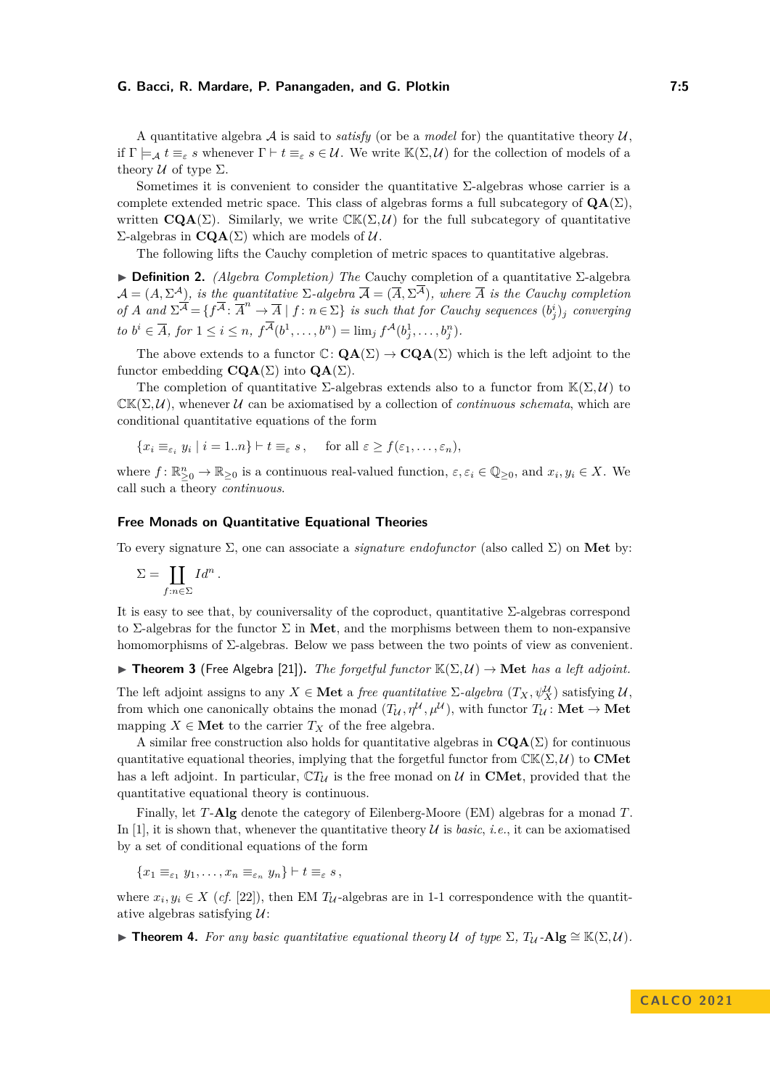A quantitative algebra  $A$  is said to *satisfy* (or be a *model* for) the quantitative theory  $U$ . if  $\Gamma \models_{\mathcal{A}} t \equiv_{\varepsilon} s$  whenever  $\Gamma \vdash t \equiv_{\varepsilon} s \in \mathcal{U}$ . We write  $\mathbb{K}(\Sigma, \mathcal{U})$  for the collection of models of a theory  $U$  of type  $\Sigma$ .

Sometimes it is convenient to consider the quantitative  $\Sigma$ -algebras whose carrier is a complete extended metric space. This class of algebras forms a full subcategory of  $QA(\Sigma)$ . written  $\mathbf{CQA}(\Sigma)$ . Similarly, we write  $\mathbb{CK}(\Sigma, \mathcal{U})$  for the full subcategory of quantitative Σ-algebras in **CQA**(Σ) which are models of U.

The following lifts the Cauchy completion of metric spaces to quantitative algebras.

▶ **Definition 2.** *(Algebra Completion) The* Cauchy completion of a quantitative Σ-algebra  $\mathcal{A} = (A, \Sigma^{\mathcal{A}})$ , is the quantitative  $\Sigma$ -algebra  $\overline{\mathcal{A}} = (\overline{A}, \Sigma^{\mathcal{A}})$ , where  $\overline{A}$  is the Cauchy completion  $of A$  and  $\Sigma^{\overline{A}} = \{ f^{\overline{A}} : \overline{A}^n \to \overline{A} \mid f : n \in \Sigma \}$  *is such that for Cauchy sequences*  $(b_j^i)_j$  *converging*  $to b^{i} \in \overline{A}$ , for  $1 \leq i \leq n$ ,  $f^{A}(b^{1}, \ldots, b^{n}) = \lim_{j} f^{A}(b^{1}_{j}, \ldots, b^{n}_{j}).$ 

The above extends to a functor  $\mathbb{C} \colon \mathbf{QA}(\Sigma) \to \mathbf{CQA}(\Sigma)$  which is the left adjoint to the functor embedding **CQA**( $\Sigma$ ) into **QA**( $\Sigma$ ).

The completion of quantitative  $\Sigma$ -algebras extends also to a functor from  $\mathbb{K}(\Sigma, \mathcal{U})$  to  $CK(\Sigma, U)$ , whenever U can be axiomatised by a collection of *continuous schemata*, which are conditional quantitative equations of the form

 ${x_i \equiv_{\varepsilon_i} y_i \mid i = 1..n} \vdash t \equiv_{\varepsilon} s, \quad \text{for all } \varepsilon \ge f(\varepsilon_1, \ldots, \varepsilon_n),$ 

where  $f: \mathbb{R}_{\geq 0}^n \to \mathbb{R}_{\geq 0}$  is a continuous real-valued function,  $\varepsilon, \varepsilon_i \in \mathbb{Q}_{\geq 0}$ , and  $x_i, y_i \in X$ . We call such a theory *continuous*.

#### **Free Monads on Quantitative Equational Theories**

To every signature Σ, one can associate a *signature endofunctor* (also called Σ) on **Met** by:

$$
\Sigma = \coprod_{f:n\in\Sigma} \operatorname{Id}^n.
$$

It is easy to see that, by couniversality of the coproduct, quantitative  $\Sigma$ -algebras correspond to Σ-algebras for the functor Σ in **Met**, and the morphisms between them to non-expansive homomorphisms of Σ-algebras. Below we pass between the two points of view as convenient.

<span id="page-4-1"></span> $\blacktriangleright$  **Theorem 3** (Free Algebra [\[21\]](#page-15-4)). *The forgetful functor*  $\mathbb{K}(\Sigma, \mathcal{U}) \to \mathbf{Met}$  *has a left adjoint.* 

The left adjoint assigns to any  $X \in \mathbf{Met}$  a *free quantitative*  $\Sigma$ -algebra  $(T_X, \psi_X^{\mathcal{U}})$  satisfying  $\mathcal{U}$ , from which one canonically obtains the monad  $(T_{\mathcal{U}}, \eta^{\mathcal{U}}, \mu^{\mathcal{U}})$ , with functor  $T_{\mathcal{U}} : \mathbf{Met} \to \mathbf{Met}$ mapping  $X \in \mathbf{Met}$  to the carrier  $T_X$  of the free algebra.

A similar free construction also holds for quantitative algebras in  $\mathbf{CQA}(\Sigma)$  for continuous quantitative equational theories, implying that the forgetful functor from  $\mathbb{CK}(\Sigma, \mathcal{U})$  to **CMet** has a left adjoint. In particular,  $\mathbb{C}T_U$  is the free monad on U in **CMet**, provided that the quantitative equational theory is continuous.

Finally, let *T*-**Alg** denote the category of Eilenberg-Moore (EM) algebras for a monad *T*. In [\[1\]](#page-15-5), it is shown that, whenever the quantitative theory  $U$  is *basic*, *i.e.*, it can be axiomatised by a set of conditional equations of the form

 ${x_1 \equiv_{\varepsilon_1} y_1, \ldots, x_n \equiv_{\varepsilon_n} y_n} \vdash t \equiv_{\varepsilon} s$ ,

where  $x_i, y_i \in X$  (*cf.* [\[22\]](#page-15-13)), then EM  $T_{\mathcal{U}}$ -algebras are in 1-1 correspondence with the quantitative algebras satisfying  $\mathcal{U}$ :

<span id="page-4-0"></span>▶ **Theorem 4.** For any basic quantitative equational theory U of type  $\Sigma$ ,  $T_U$ -Alg  $\cong$   $\mathbb{K}(\Sigma, \mathcal{U})$ .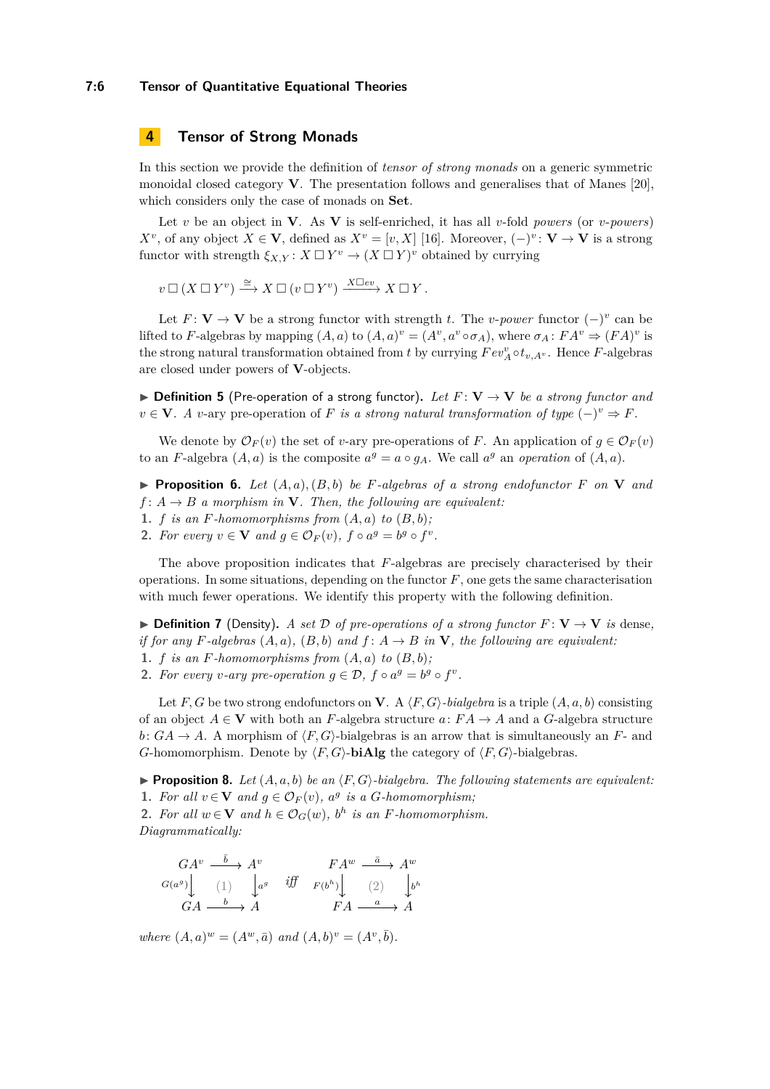## **7:6 Tensor of Quantitative Equational Theories**

# **4 Tensor of Strong Monads**

In this section we provide the definition of *tensor of strong monads* on a generic symmetric monoidal closed category **V**. The presentation follows and generalises that of Manes [\[20\]](#page-15-14), which considers only the case of monads on **Set**.

Let *v* be an object in **V**. As **V** is self-enriched, it has all *v*-fold *powers* (or *v*-*powers*) *X*<sup>*v*</sup>, of any object *X* ∈ **V**, defined as *X*<sup>*v*</sup> = [*v*, *X*] [\[16\]](#page-15-15). Moreover,  $(-)^{v}$ : **V** → **V** is a strong functor with strength  $\xi_{X,Y}: X \square Y^v \to (X \square Y)^v$  obtained by currying

 $v \Box (X \Box Y^v) \stackrel{\cong}{\longrightarrow} X \Box (v \Box Y^v) \stackrel{X \Box ev}{\longrightarrow} X \Box Y$ .

Let  $F: V \to V$  be a strong functor with strength *t*. The *v*-*power* functor  $(-)^{v}$  can be lifted to *F*-algebras by mapping  $(A, a)$  to  $(A, a)^{v} = (A^{v}, a^{v} \circ \sigma_{A})$ , where  $\sigma_{A}: FA^{v} \Rightarrow (FA)^{v}$  is the strong natural transformation obtained from *t* by currying  $Fev_A^v \circ t_{v,A_v}$ . Hence *F*-algebras are closed under powers of **V**-objects.

<span id="page-5-3"></span> $\triangleright$  **Definition 5** (Pre-operation of a strong functor). Let  $F: V \to V$  be a strong functor and  $v \in \mathbf{V}$ *. A v*-ary pre-operation of *F is a strong natural transformation of type*  $(-)^v \Rightarrow F$ *.* 

We denote by  $\mathcal{O}_F(v)$  the set of *v*-ary pre-operations of *F*. An application of  $g \in \mathcal{O}_F(v)$ to an *F*-algebra  $(A, a)$  is the composite  $a^g = a \circ g_A$ . We call  $a^g$  an *operation* of  $(A, a)$ .

 $\blacktriangleright$  **Proposition 6.** Let  $(A, a), (B, b)$  be *F*-algebras of a strong endofunctor *F* on **V** and  $f: A \rightarrow B$  *a morphism in* **V***. Then, the following are equivalent:* 

- **1.** *f is an F*-homomorphisms from  $(A, a)$  *to*  $(B, b)$ ;
- **2.** *For every*  $v \in \mathbf{V}$  *and*  $g \in \mathcal{O}_F(v)$ ,  $f \circ a^g = b^g \circ f^v$ .

The above proposition indicates that *F*-algebras are precisely characterised by their operations. In some situations, depending on the functor *F*, one gets the same characterisation with much fewer operations. We identify this property with the following definition.

▶ **Definition 7** (Density). *A set*  $\mathcal{D}$  *of pre-operations of a strong functor*  $F: \mathbf{V} \rightarrow \mathbf{V}$  *is* dense, *if for any F*-algebras  $(A, a)$ *,*  $(B, b)$  *and*  $f: A \rightarrow B$  *in* **V***, the following are equivalent:* 

**1.** *f is an F*-homomorphisms from  $(A, a)$  *to*  $(B, b)$ ;

**2.** *For every v*-ary *pre-operation*  $g \in \mathcal{D}$ ,  $f \circ a^g = b^g \circ f^v$ .

Let *F*, *G* be two strong endofunctors on **V**. A  $\langle F, G \rangle$ *-bialgebra* is a triple  $(A, a, b)$  consisting of an object  $A \in V$  with both an *F*-algebra structure *a*:  $FA \to A$  and a *G*-algebra structure  $b: GA \rightarrow A$ . A morphism of  $\langle F, G \rangle$ -bialgebras is an arrow that is simultaneously an *F*- and *G*-homomorphism. Denote by  $\langle F, G \rangle$ -**biAlg** the category of  $\langle F, G \rangle$ -bialgebras.

<span id="page-5-2"></span><span id="page-5-0"></span>**• Proposition 8.** Let  $(A, a, b)$  be an  $\langle F, G \rangle$ -bialgebra. The following statements are equivalent: **1.** For all  $v \in \mathbf{V}$  and  $g \in \mathcal{O}_F(v)$ ,  $a^g$  is a *G*-homomorphism;

<span id="page-5-1"></span>**2.** For all  $w \in \mathbf{V}$  and  $h \in \mathcal{O}_G(w)$ ,  $b^h$  is an *F*-homomorphism. *Diagrammatically:*

$$
\begin{array}{ccc}\nGA^v & \xrightarrow{\bar{b}} & A^v & F A^w & \xrightarrow{\bar{a}} & A^w \\
G(a^g) \downarrow & (1) & \downarrow^{a^g} & \text{iff} & F(b^h) \downarrow & (2) & \downarrow^{b^h} \\
GA & \xrightarrow{b} & A & F A & \xrightarrow{a} & A\n\end{array}
$$

*where*  $(A, a)^w = (A^w, \bar{a})$  *and*  $(A, b)^v = (A^v, \bar{b})$ *.*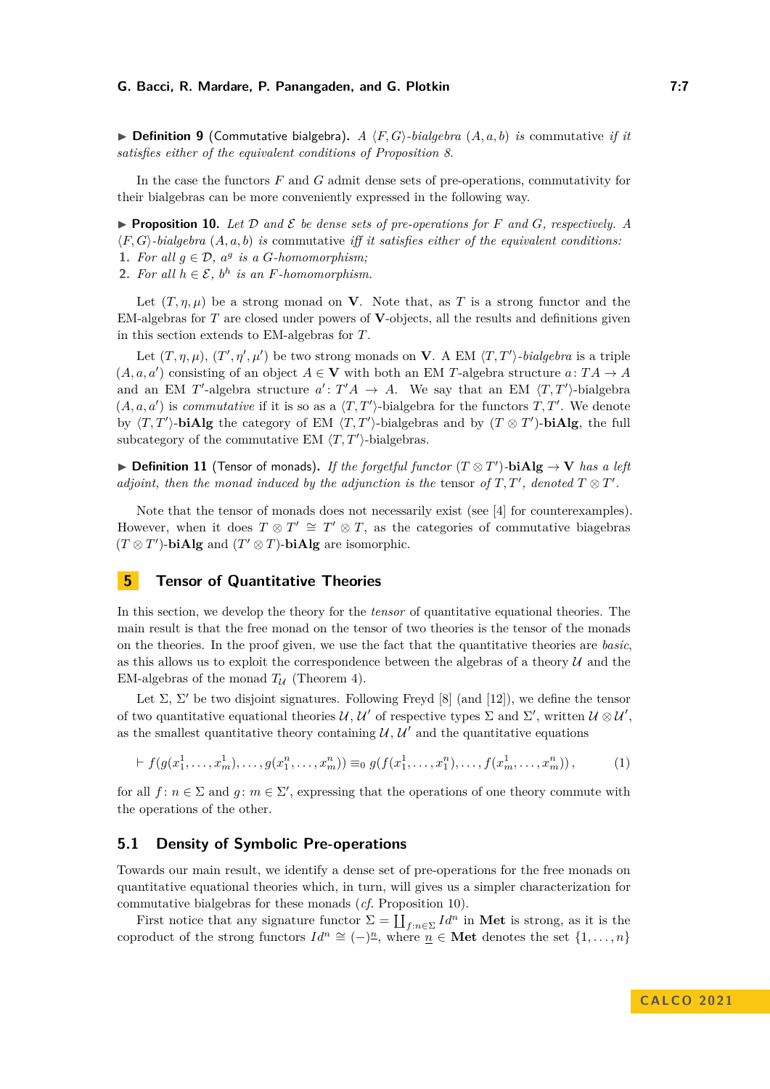$\triangleright$  **Definition 9** (Commutative bialgebra). *A*  $\langle F, G \rangle$ *-bialgebra*  $(A, a, b)$  *is* commutative *if it satisfies either of the equivalent conditions of Proposition [8.](#page-5-2)*

In the case the functors *F* and *G* admit dense sets of pre-operations, commutativity for their bialgebras can be more conveniently expressed in the following way.

<span id="page-6-1"></span>**• Proposition 10.** Let  $D$  and  $E$  be dense sets of pre-operations for  $F$  and  $G$ , respectively. A ⟨*F, G*⟩*-bialgebra* (*A, a, b*) *is* commutative *iff it satisfies either of the equivalent conditions:* **1.** For all  $g \in \mathcal{D}$ ,  $a^g$  is a *G*-homomorphism;

2. For all  $h \in \mathcal{E}$ ,  $b^h$  is an *F*-homomorphism.

Let  $(T, \eta, \mu)$  be a strong monad on **V**. Note that, as T is a strong functor and the EM-algebras for *T* are closed under powers of **V**-objects, all the results and definitions given in this section extends to EM-algebras for *T*.

Let  $(T, \eta, \mu)$ ,  $(T', \eta', \mu')$  be two strong monads on **V**. A EM  $\langle T, T' \rangle$ *-bialgebra* is a triple  $(A, a, a')$  consisting of an object  $A \in V$  with both an EM *T*-algebra structure  $a: TA \rightarrow A$ and an EM *T*'-algebra structure  $a' : T'A \rightarrow A$ . We say that an EM  $\langle T, T' \rangle$ -bialgebra  $(A, a, a')$  is *commutative* if it is so as a  $\langle T, T' \rangle$ -bialgebra for the functors  $T, T'$ . We denote by  $\langle T, T' \rangle$ -**biAlg** the category of EM  $\langle T, T' \rangle$ -bialgebras and by  $(T \otimes T')$ -**biAlg**, the full subcategory of the commutative EM  $\langle T, T' \rangle$ -bialgebras.

▶ **Definition 11** (Tensor of monads)**.** *If the forgetful functor* (*T* ⊗ *T* ′ )*-***biAlg** → **V** *has a left adjoint, then the monad induced by the adjunction is the tensor of*  $T, T'$ *, denoted*  $T \otimes T'$ *.* 

Note that the tensor of monads does not necessarily exist (see [\[4\]](#page-15-16) for counterexamples). However, when it does  $T \otimes T' \cong T' \otimes T$ , as the categories of commutative biagebras  $(T \otimes T')$ -**biAlg** and  $(T' \otimes T)$ -**biAlg** are isomorphic.

# <span id="page-6-0"></span>**5 Tensor of Quantitative Theories**

In this section, we develop the theory for the *tensor* of quantitative equational theories. The main result is that the free monad on the tensor of two theories is the tensor of the monads on the theories. In the proof given, we use the fact that the quantitative theories are *basic*, as this allows us to exploit the correspondence between the algebras of a theory  $U$  and the EM-algebras of the monad  $T_U$  (Theorem [4\)](#page-4-0).

Let  $\Sigma$ ,  $\Sigma'$  be two disjoint signatures. Following Freyd [\[8\]](#page-15-17) (and [\[12\]](#page-15-3)), we define the tensor of two quantitative equational theories  $\mathcal{U}, \mathcal{U}'$  of respective types  $\Sigma$  and  $\Sigma'$ , written  $\mathcal{U} \otimes \mathcal{U}'$ , as the smallest quantitative theory containing  $\mathcal{U}, \mathcal{U}'$  and the quantitative equations

$$
\vdash f(g(x_1^1, \ldots, x_m^1), \ldots, g(x_1^n, \ldots, x_m^n)) \equiv_0 g(f(x_1^1, \ldots, x_1^n), \ldots, f(x_m^1, \ldots, x_m^n)),
$$
\n(1)

for all  $f: n \in \Sigma$  and  $g: m \in \Sigma'$ , expressing that the operations of one theory commute with the operations of the other.

# **5.1 Density of Symbolic Pre-operations**

Towards our main result, we identify a dense set of pre-operations for the free monads on quantitative equational theories which, in turn, will gives us a simpler characterization for commutative bialgebras for these monads (*cf.* Proposition [10\)](#page-6-1).

First notice that any signature functor  $\Sigma = \coprod_{f:n\in\Sigma} Id^n$  in Met is strong, as it is the coproduct of the strong functors  $Id^n \cong (-)^n$ , where  $\underline{n} \in \mathbf{Met}$  denotes the set  $\{1, \ldots, n\}$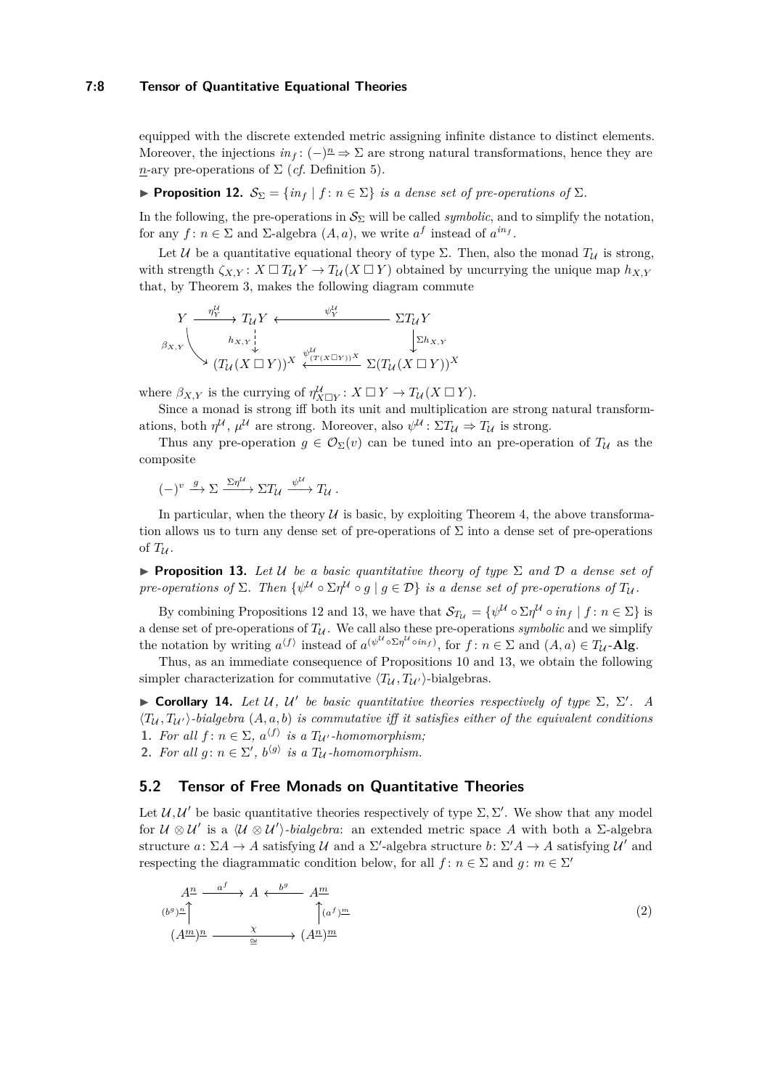## **7:8 Tensor of Quantitative Equational Theories**

equipped with the discrete extended metric assigning infinite distance to distinct elements. Moreover, the injections  $in_f: (-)^{\underline{n}} \Rightarrow \Sigma$  are strong natural transformations, hence they are *n*-ary pre-operations of  $\Sigma$  (*cf.* Definition [5\)](#page-5-3).

<span id="page-7-0"></span>**• Proposition 12.**  $\mathcal{S}_{\Sigma} = \{in_f | f : n \in \Sigma\}$  *is a dense set of pre-operations of*  $\Sigma$ *.* 

In the following, the pre-operations in  $S_{\Sigma}$  will be called *symbolic*, and to simplify the notation, for any  $f: n \in \Sigma$  and  $\Sigma$ -algebra  $(A, a)$ , we write  $a^f$  instead of  $a^{in}$ .

Let U be a quantitative equational theory of type  $\Sigma$ . Then, also the monad  $T_U$  is strong, with strength  $\zeta_{X,Y}: X \square T_{\mathcal{U}} Y \to T_{\mathcal{U}} (X \square Y)$  obtained by uncurrying the unique map  $h_{X,Y}$ that, by Theorem [3,](#page-4-1) makes the following diagram commute

$$
Y \xrightarrow{\eta_Y^{\mathcal{U}}} T_{\mathcal{U}} Y \xleftarrow{\psi_Y^{\mathcal{U}}} \Sigma T_{\mathcal{U}} Y
$$
\n
$$
\beta_{X,Y} \downarrow \qquad \qquad \Sigma h_{X,Y}
$$
\n
$$
(T_{\mathcal{U}} (X \Box Y))^{X} \xleftarrow{\psi_{(T(X \Box Y))}^{U}} \Sigma (T_{\mathcal{U}} (X \Box Y))^{X}
$$

where  $\beta_{X,Y}$  is the currying of  $\eta_{X\Box Y}^{\mathcal{U}}: X \Box Y \to T_{\mathcal{U}}(X \Box Y)$ .

Since a monad is strong iff both its unit and multiplication are strong natural transformations, both  $\eta^{\mathcal{U}}$ ,  $\mu^{\mathcal{U}}$  are strong. Moreover, also  $\psi^{\mathcal{U}}$ :  $\Sigma T_{\mathcal{U}} \Rightarrow T_{\mathcal{U}}$  is strong.

Thus any pre-operation  $g \in \mathcal{O}_{\Sigma}(v)$  can be tuned into an pre-operation of  $T_{\mathcal{U}}$  as the composite

$$
(-)^{v} \xrightarrow{g} \Sigma \xrightarrow{\Sigma \eta^{\mathcal{U}}} \Sigma T_{\mathcal{U}} \xrightarrow{\psi^{\mathcal{U}}} T_{\mathcal{U}}.
$$

In particular, when the theory  $U$  is basic, by exploiting Theorem [4,](#page-4-0) the above transformation allows us to turn any dense set of pre-operations of  $\Sigma$  into a dense set of pre-operations of  $T_{\mathcal{U}}$ .

<span id="page-7-1"></span>▶ **Proposition 13.** *Let* U *be a basic quantitative theory of type* Σ *and* D *a dense set of pre-operations of*  $\Sigma$ *. Then*  $\{\psi^{\mathcal{U}} \circ \Sigma \eta^{\mathcal{U}} \circ g \mid g \in \mathcal{D}\}$  *is a dense set of pre-operations of*  $T_{\mathcal{U}}$ *.* 

By combining Propositions [12](#page-7-0) and [13,](#page-7-1) we have that  $\mathcal{S}_{T_U} = \{ \psi^{\mathcal{U}} \circ \Sigma \eta^{\mathcal{U}} \circ in_f \mid f : n \in \Sigma \}$  is a dense set of pre-operations of  $T_{\mathcal{U}}$ . We call also these pre-operations *symbolic* and we simplify the notation by writing  $a^{\langle f \rangle}$  instead of  $a^{(\psi^{\mathcal{U}} \circ \Sigma \eta^{\mathcal{U}} \circ in_f)},$  for  $f: n \in \Sigma$  and  $(A, a) \in T_{\mathcal{U}}$ -Alg.

Thus, as an immediate consequence of Propositions [10](#page-6-1) and [13,](#page-7-1) we obtain the following simpler characterization for commutative  $\langle T_{\mathcal{U}}, T_{\mathcal{U}} \rangle$ -bialgebras.

<span id="page-7-2"></span>**• Corollary 14.** Let U, U' be basic quantitative theories respectively of type  $\Sigma$ ,  $\Sigma'$ . A  $\langle T_{\mathcal{U}}, T_{\mathcal{U}} \rangle$ -bialgebra  $(A, a, b)$  is commutative iff it satisfies either of the equivalent conditions **1.** For all  $f: n \in \Sigma$ ,  $a^{\langle f \rangle}$  is a  $T_{\mathcal{U}}$  *-homomorphism*; **2.** *For all*  $g: n \in \Sigma'$ ,  $b^{(g)}$  *is a*  $T_{\mathcal{U}}$ *-homomorphism.* 

# **5.2 Tensor of Free Monads on Quantitative Theories**

Let  $\mathcal{U}, \mathcal{U}'$  be basic quantitative theories respectively of type  $\Sigma, \Sigma'$ . We show that any model for  $\mathcal{U} \otimes \mathcal{U}'$  is a  $\langle \mathcal{U} \otimes \mathcal{U}' \rangle$ *-bialgebra*: an extended metric space A with both a Σ-algebra structure  $a: \Sigma A \to A$  satisfying U and a  $\Sigma'$ -algebra structure  $b: \Sigma' A \to A$  satisfying U' and respecting the diagrammatic condition below, for all  $f: n \in \Sigma$  and  $g: m \in \Sigma'$ 

$$
A^{\underline{n}} \xrightarrow{a^f} A \xleftarrow{b^g} A^{\underline{m}} (b^g)^{\underline{n}} \qquad \qquad \uparrow (a^f)^{\underline{m}} (A^{\underline{m}})^{\underline{n}} \xrightarrow{\chi} (A^{\underline{n}})^{\underline{m}}.
$$
 (2)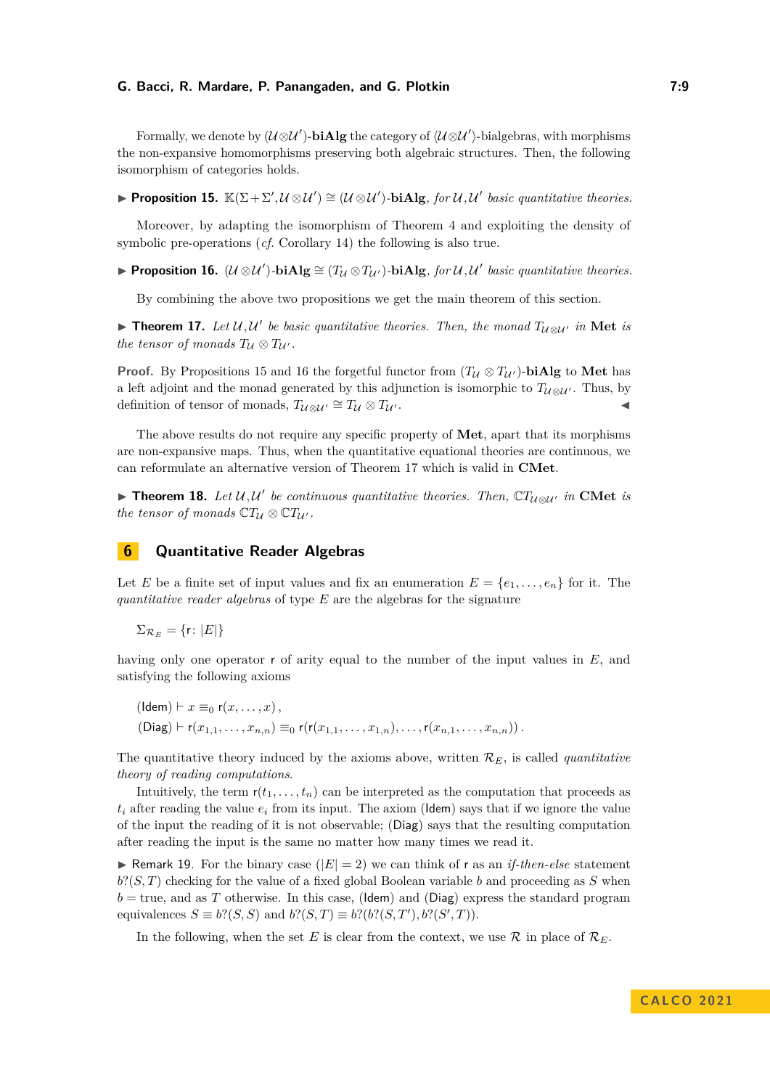Formally, we denote by  $(\mathcal{U} \otimes \mathcal{U}')$ -**biAlg** the category of  $\langle \mathcal{U} \otimes \mathcal{U}' \rangle$ -bialgebras, with morphisms the non-expansive homomorphisms preserving both algebraic structures. Then, the following isomorphism of categories holds.

<span id="page-8-0"></span>**► Proposition 15.**  $\mathbb{K}(\Sigma + \Sigma', \mathcal{U} \otimes \mathcal{U}') \cong (\mathcal{U} \otimes \mathcal{U}')$ -biAlg, for  $\mathcal{U}, \mathcal{U}'$  basic quantitative theories.

Moreover, by adapting the isomorphism of Theorem [4](#page-4-0) and exploiting the density of symbolic pre-operations (*cf.* Corollary [14\)](#page-7-2) the following is also true.

<span id="page-8-1"></span>▶ **Proposition 16.**  $(U \otimes U')$ -biAlg  $\cong (T_U \otimes T_{U'})$ -biAlg, for  $U, U'$  basic quantitative theories.

By combining the above two propositions we get the main theorem of this section.

<span id="page-8-2"></span>▶ **Theorem 17.** Let  $U, U'$  be basic quantitative theories. Then, the monad  $T_{U \otimes U'}$  in Met is *the tensor of monads*  $T_{\mathcal{U}} \otimes T_{\mathcal{U}'}$ *.* 

**Proof.** By Propositions [15](#page-8-0) and [16](#page-8-1) the forgetful functor from  $(T_{\mathcal{U}} \otimes T_{\mathcal{U}})$ -**biAlg** to Met has a left adjoint and the monad generated by this adjunction is isomorphic to  $T_{U \otimes U'}$ . Thus, by definition of tensor of monads,  $T_{U \otimes U'} \cong T_U \otimes T_{U'}$ .

The above results do not require any specific property of **Met**, apart that its morphisms are non-expansive maps. Thus, when the quantitative equational theories are continuous, we can reformulate an alternative version of Theorem [17](#page-8-2) which is valid in **CMet**.

▶ **Theorem 18.** Let  $U, U'$  be continuous quantitative theories. Then,  $\mathbb{C}T_{U\otimes U'}$  in CMet is *the tensor of monads*  $\mathbb{C}T_{\mathcal{U}} \otimes \mathbb{C}T_{\mathcal{U}'}$ *.* 

# <span id="page-8-3"></span>**6 Quantitative Reader Algebras**

Let *E* be a finite set of input values and fix an enumeration  $E = \{e_1, \ldots, e_n\}$  for it. The *quantitative reader algebras* of type *E* are the algebras for the signature

 $\Sigma_{\mathcal{R}_E} = \{r: |E|\}$ 

having only one operator r of arity equal to the number of the input values in E, and satisfying the following axioms

$$
(\mathsf{Idem}) \vdash x \equiv_0 \mathsf{r}(x, \dots, x),
$$
  
\n
$$
(\mathsf{Diag}) \vdash \mathsf{r}(x_{1,1}, \dots, x_{n,n}) \equiv_0 \mathsf{r}(\mathsf{r}(x_{1,1}, \dots, x_{1,n}), \dots, \mathsf{r}(x_{n,1}, \dots, x_{n,n})).
$$

The quantitative theory induced by the axioms above, written  $\mathcal{R}_E$ , is called *quantitative theory of reading computations*.

Intuitively, the term  $r(t_1, \ldots, t_n)$  can be interpreted as the computation that proceeds as  $t_i$  after reading the value  $e_i$  from its input. The axiom (Idem) says that if we ignore the value of the input the reading of it is not observable; (Diag) says that the resulting computation after reading the input is the same no matter how many times we read it.

**• Remark 19.** For the binary case  $(|E| = 2)$  we can think of r as an *if-then-else* statement  $b$ ?( $S$ , *T*) checking for the value of a fixed global Boolean variable *b* and proceeding as *S* when  $b = \text{true}$ , and as *T* otherwise. In this case, (Idem) and (Diag) express the standard program equivalences  $S \equiv b?$  (*S, S*) and  $b?$  (*S, T*)  $\equiv b?$  (*b*? (*S, T'*), *b*? (*S', T*)).

In the following, when the set *E* is clear from the context, we use  $\mathcal R$  in place of  $\mathcal R_E$ .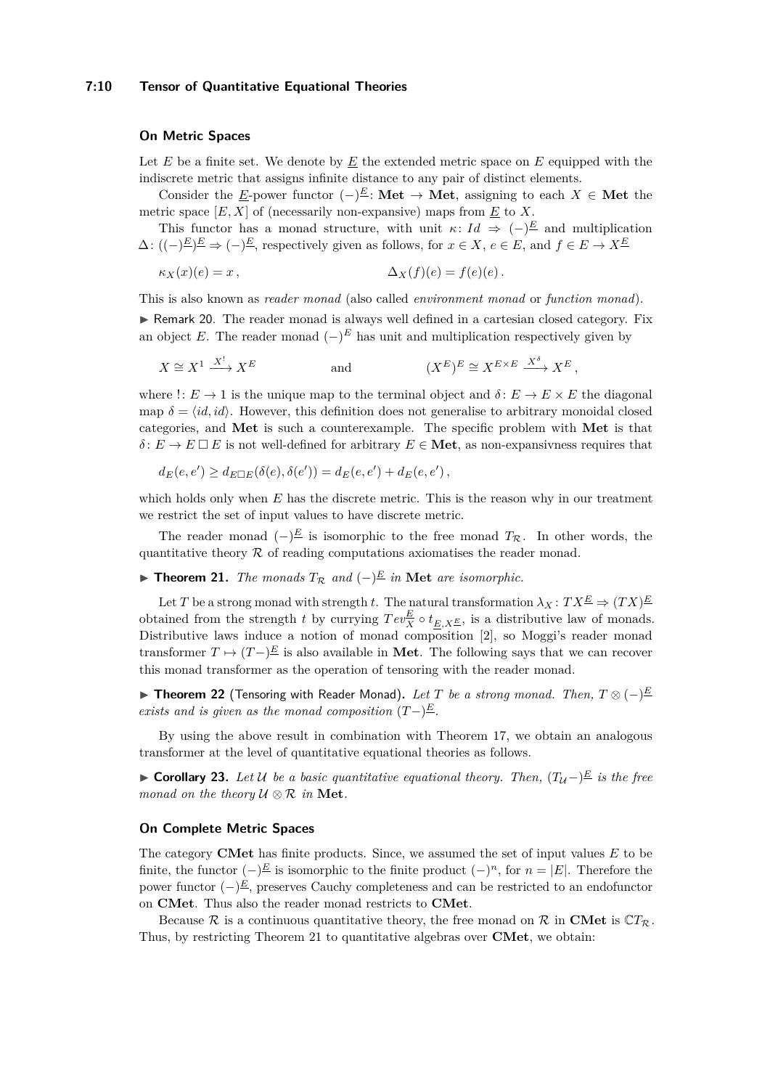#### **7:10 Tensor of Quantitative Equational Theories**

#### **On Metric Spaces**

Let  $E$  be a finite set. We denote by  $E$  the extended metric space on  $E$  equipped with the indiscrete metric that assigns infinite distance to any pair of distinct elements.

Consider the *E*-power functor  $(-)^E$ : **Met**  $\rightarrow$  **Met**, assigning to each *X*  $\in$  **Met** the metric space  $[E, X]$  of (necessarily non-expansive) maps from  $\underline{E}$  to  $X$ .

This functor has a monad structure, with unit  $\kappa: Id \Rightarrow (-)^{\underline{E}}$  and multiplication  $\Delta: ((-)^{\underline{E}})^{\underline{E}} \Rightarrow (-)^{\underline{E}}$ , respectively given as follows, for  $x \in X$ ,  $e \in E$ , and  $f \in E \rightarrow X^{\underline{E}}$ 

$$
\kappa_X(x)(e) = x, \qquad \Delta_X(f)(e) = f(e)(e).
$$

This is also known as *reader monad* (also called *environment monad* or *function monad*).

▶ Remark 20. The reader monad is always well defined in a cartesian closed category. Fix an object *E*. The reader monad  $(-)^E$  has unit and multiplication respectively given by

$$
X \cong X^1 \xrightarrow{X^!} X^E \qquad \text{and} \qquad (X^E)^E \cong X^{E \times E} \xrightarrow{X^{\delta}} X^E,
$$

where  $\therefore$  *E*  $\rightarrow$  1 is the unique map to the terminal object and  $\delta$ : *E*  $\rightarrow$  *E*  $\times$  *E* the diagonal map  $\delta = \langle id, id \rangle$ . However, this definition does not generalise to arbitrary monoidal closed categories, and **Met** is such a counterexample. The specific problem with **Met** is that  $\delta$ :  $E \to E \square E$  is not well-defined for arbitrary  $E \in \mathbf{Met}$ , as non-expansivness requires that

$$
d_E(e, e') \ge d_{E \Box E}(\delta(e), \delta(e')) = d_E(e, e') + d_E(e, e'),
$$

which holds only when *E* has the discrete metric. This is the reason why in our treatment we restrict the set of input values to have discrete metric.

The reader monad  $(-)^{\underline{E}}$  is isomorphic to the free monad  $T_{\mathcal{R}}$ . In other words, the quantitative theory  $R$  of reading computations axiomatises the reader monad.

<span id="page-9-0"></span>▶ **Theorem 21.** *The monads*  $T_R$  *and*  $\left(-\right) \stackrel{E}{=}$  *in* Met *are isomorphic.* 

Let *T* be a strong monad with strength *t*. The natural transformation  $\lambda_X : T X^{\underline{E}} \Rightarrow (TX)^{\underline{E}}$ obtained from the strength *t* by currying  $Tev_X^E \circ t_{E,X^E}$ , is a distributive law of monads. Distributive laws induce a notion of monad composition [\[2\]](#page-15-18), so Moggi's reader monad transformer  $T \mapsto (T-)^{\underline{E}}$  is also available in Met. The following says that we can recover this monad transformer as the operation of tensoring with the reader monad.

<span id="page-9-1"></span>▶ **Theorem 22** (Tensoring with Reader Monad)**.** *Let T be a strong monad. Then, T* ⊗ (−) *E exists and is given as the monad composition*  $(T-)^{\underline{E}}$ *.* 

By using the above result in combination with Theorem [17,](#page-8-2) we obtain an analogous transformer at the level of quantitative equational theories as follows.

<span id="page-9-2"></span>▶ **Corollary 23.** Let U be a basic quantitative equational theory. Then,  $(T_{\mathcal{U}})^{\mathcal{E}}$  is the free *monad on the theory*  $U \otimes R$  *in* **Met***.* 

# **On Complete Metric Spaces**

The category **CMet** has finite products. Since, we assumed the set of input values *E* to be finite, the functor  $(-)^E$  is isomorphic to the finite product  $(-)^n$ , for  $n = |E|$ . Therefore the power functor (−) *<sup>E</sup>*, preserves Cauchy completeness and can be restricted to an endofunctor on **CMet**. Thus also the reader monad restricts to **CMet**.

Because R is a continuous quantitative theory, the free monad on R in CMet is  $CT_{\mathcal{R}}$ . Thus, by restricting Theorem [21](#page-9-0) to quantitative algebras over **CMet**, we obtain: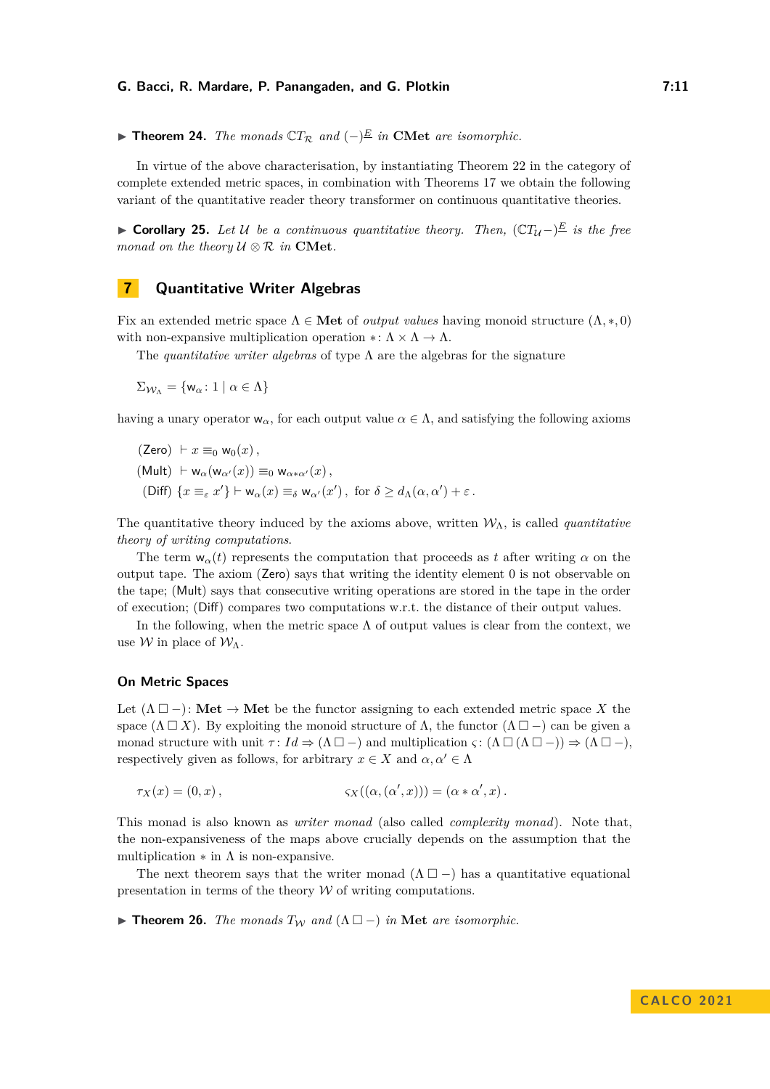▶ **Theorem 24.** *The monads*  $\mathbb{C}T_{\mathcal{R}}$  *and*  $(-)^{\underline{E}}$  *in* **CMet** *are isomorphic.* 

In virtue of the above characterisation, by instantiating Theorem [22](#page-9-1) in the category of complete extended metric spaces, in combination with Theorems [17](#page-8-2) we obtain the following variant of the quantitative reader theory transformer on continuous quantitative theories.

▶ **Corollary 25.** Let U be a continuous quantitative theory. Then,  $\left(\mathbb{C}T_{\mathcal{U}}-\right)^{\underline{E}}$  is the free *monad on the theory*  $U \otimes R$  *in* **CMet***.* 

# **7 Quantitative Writer Algebras**

Fix an extended metric space  $\Lambda \in \mathbf{Met}$  of *output values* having monoid structure  $(\Lambda, \ast, 0)$ with non-expansive multiplication operation ∗:  $\Lambda \times \Lambda \to \Lambda$ .

The *quantitative writer algebras* of type Λ are the algebras for the signature

 $\Sigma_{\mathcal{W}_{\Lambda}} = \{ \mathsf{w}_{\alpha} : 1 \mid \alpha \in \Lambda \}$ 

having a unary operator  $w_{\alpha}$ , for each output value  $\alpha \in \Lambda$ , and satisfying the following axioms

(Zero) 
$$
\vdash x \equiv_0 \mathsf{w}_0(x)
$$
,  
\n(Mult)  $\vdash \mathsf{w}_{\alpha}(\mathsf{w}_{\alpha'}(x)) \equiv_0 \mathsf{w}_{\alpha * \alpha'}(x)$ ,  
\n(Diff)  $\{x \equiv_{\varepsilon} x'\} \vdash \mathsf{w}_{\alpha}(x) \equiv_{\delta} \mathsf{w}_{\alpha'}(x')$ , for  $\delta \geq d_{\Lambda}(\alpha, \alpha') + \varepsilon$ .

The quantitative theory induced by the axioms above, written  $W_{\Lambda}$ , is called *quantitative theory of writing computations*.

The term  $w_{\alpha}(t)$  represents the computation that proceeds as *t* after writing  $\alpha$  on the output tape. The axiom (Zero) says that writing the identity element 0 is not observable on the tape; (Mult) says that consecutive writing operations are stored in the tape in the order of execution; (Diff) compares two computations w.r.t. the distance of their output values.

In the following, when the metric space  $\Lambda$  of output values is clear from the context, we use  $W$  in place of  $W_{\Lambda}$ .

#### **On Metric Spaces**

Let  $(\Lambda \Box -)$ : Met  $\rightarrow$  Met be the functor assigning to each extended metric space X the space  $(\Lambda \square X)$ . By exploiting the monoid structure of  $\Lambda$ , the functor  $(\Lambda \square -)$  can be given a monad structure with unit  $\tau: Id \Rightarrow (\Lambda \square -)$  and multiplication  $\varsigma: (\Lambda \square (\Lambda \square -)) \Rightarrow (\Lambda \square -)$ , respectively given as follows, for arbitrary  $x \in X$  and  $\alpha, \alpha' \in \Lambda$ 

$$
\tau_X(x) = (0, x), \qquad \qquad \varsigma_X((\alpha, (\alpha', x))) = (\alpha * \alpha', x).
$$

This monad is also known as *writer monad* (also called *complexity monad*). Note that, the non-expansiveness of the maps above crucially depends on the assumption that the multiplication  $*$  in  $\Lambda$  is non-expansive.

The next theorem says that the writer monad  $(\Lambda \Box -)$  has a quantitative equational presentation in terms of the theory  $W$  of writing computations.

<span id="page-10-0"></span>▶ **Theorem 26.** *The monads*  $T_W$  *and*  $(Λ ⊡ -)$  *in* Met *are isomorphic.*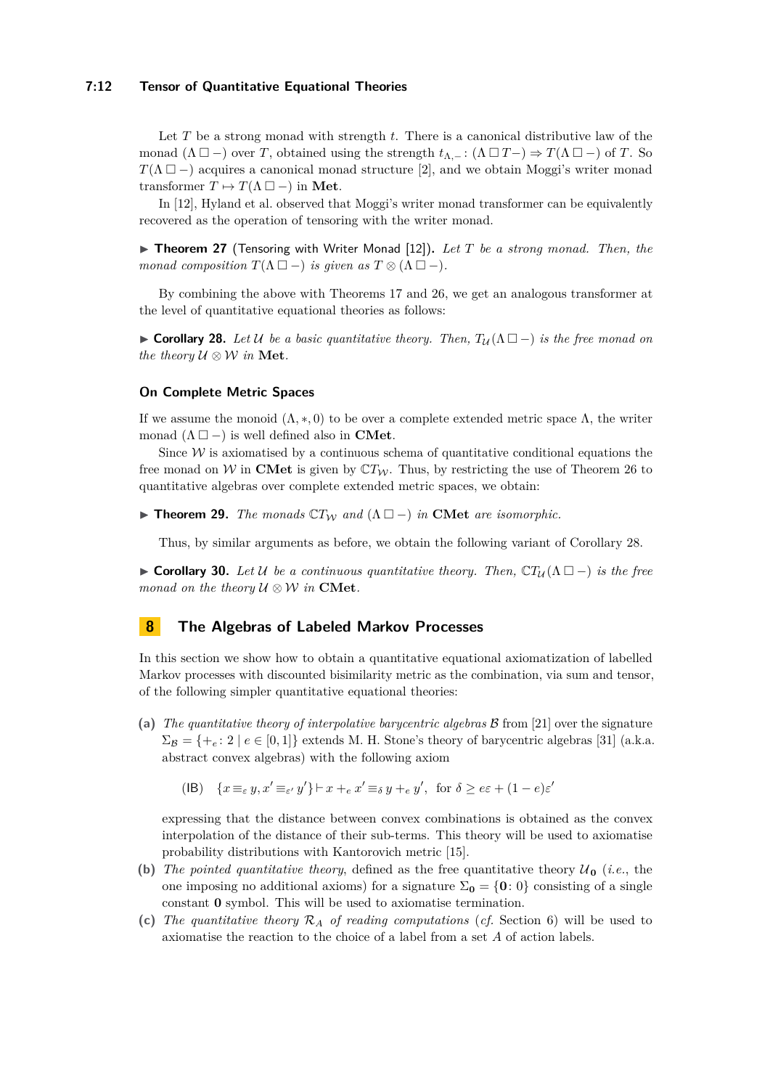#### **7:12 Tensor of Quantitative Equational Theories**

Let *T* be a strong monad with strength *t*. There is a canonical distributive law of the monad  $(\Lambda \Box -)$  over *T*, obtained using the strength  $t_{\Lambda,-}: (\Lambda \Box T-) \Rightarrow T(\Lambda \Box -)$  of *T*. So  $T(\Lambda \Box -)$  acquires a canonical monad structure [\[2\]](#page-15-18), and we obtain Moggi's writer monad transformer  $T \mapsto T(\Lambda \square -)$  in **Met**.

In [\[12\]](#page-15-3), Hyland et al. observed that Moggi's writer monad transformer can be equivalently recovered as the operation of tensoring with the writer monad.

▶ **Theorem 27** (Tensoring with Writer Monad [\[12\]](#page-15-3))**.** *Let T be a strong monad. Then, the monad composition*  $T(\Lambda \Box -)$  *is given as*  $T \otimes (\Lambda \Box -)$ *.* 

By combining the above with Theorems [17](#page-8-2) and [26,](#page-10-0) we get an analogous transformer at the level of quantitative equational theories as follows:

<span id="page-11-0"></span>▶ **Corollary 28.** Let U be a basic quantitative theory. Then,  $T_{\mathcal{U}}(\Lambda \Box -)$  is the free monad on *the theory*  $U \otimes W$  *in* **Met***.* 

## **On Complete Metric Spaces**

If we assume the monoid  $(\Lambda, \ast, 0)$  to be over a complete extended metric space  $\Lambda$ , the writer monad  $(\Lambda \Box -)$  is well defined also in **CMet**.

Since  $W$  is axiomatised by a continuous schema of quantitative conditional equations the free monad on W in **CMet** is given by  $CT_W$ . Thus, by restricting the use of Theorem [26](#page-10-0) to quantitative algebras over complete extended metric spaces, we obtain:

**► Theorem 29.** *The monads*  $\mathbb{C}T_W$  *and*  $(\Lambda \Box -)$  *in* **CMet** *are isomorphic.* 

Thus, by similar arguments as before, we obtain the following variant of Corollary [28.](#page-11-0)

**► Corollary 30.** Let U be a continuous quantitative theory. Then,  $\mathbb{C}T_{\mathcal{U}}(\Lambda \Box -)$  is the free *monad on the theory*  $U \otimes W$  *in* **CMet***.* 

# <span id="page-11-1"></span>**8 The Algebras of Labeled Markov Processes**

In this section we show how to obtain a quantitative equational axiomatization of labelled Markov processes with discounted bisimilarity metric as the combination, via sum and tensor, of the following simpler quantitative equational theories:

- **(a)** *The quantitative theory of interpolative barycentric algebras* B from [\[21\]](#page-15-4) over the signature  $\Sigma_B = \{+_e : 2 \mid e \in [0,1]\}$  extends M. H. Stone's theory of barycentric algebras [\[31\]](#page-16-5) (a.k.a. abstract convex algebras) with the following axiom
	- (IB)  $\{x \equiv_{\varepsilon} y, x' \equiv_{\varepsilon'} y'\} \vdash x +_{\varepsilon} x' \equiv_{\delta} y +_{\varepsilon} y'$ , for  $\delta \geq \varepsilon \varepsilon + (1 e)\varepsilon'$

expressing that the distance between convex combinations is obtained as the convex interpolation of the distance of their sub-terms. This theory will be used to axiomatise probability distributions with Kantorovich metric [\[15\]](#page-15-19).

- **(b)** *The pointed quantitative theory,* defined as the free quantitative theory  $\mathcal{U}_0$  (*i.e.*, the one imposing no additional axioms) for a signature  $\Sigma_0 = \{0, 0\}$  consisting of a single constant **0** symbol. This will be used to axiomatise termination.
- **(c)** *The quantitative theory* R*<sup>A</sup> of reading computations* (*cf.* Section [6\)](#page-8-3) will be used to axiomatise the reaction to the choice of a label from a set *A* of action labels.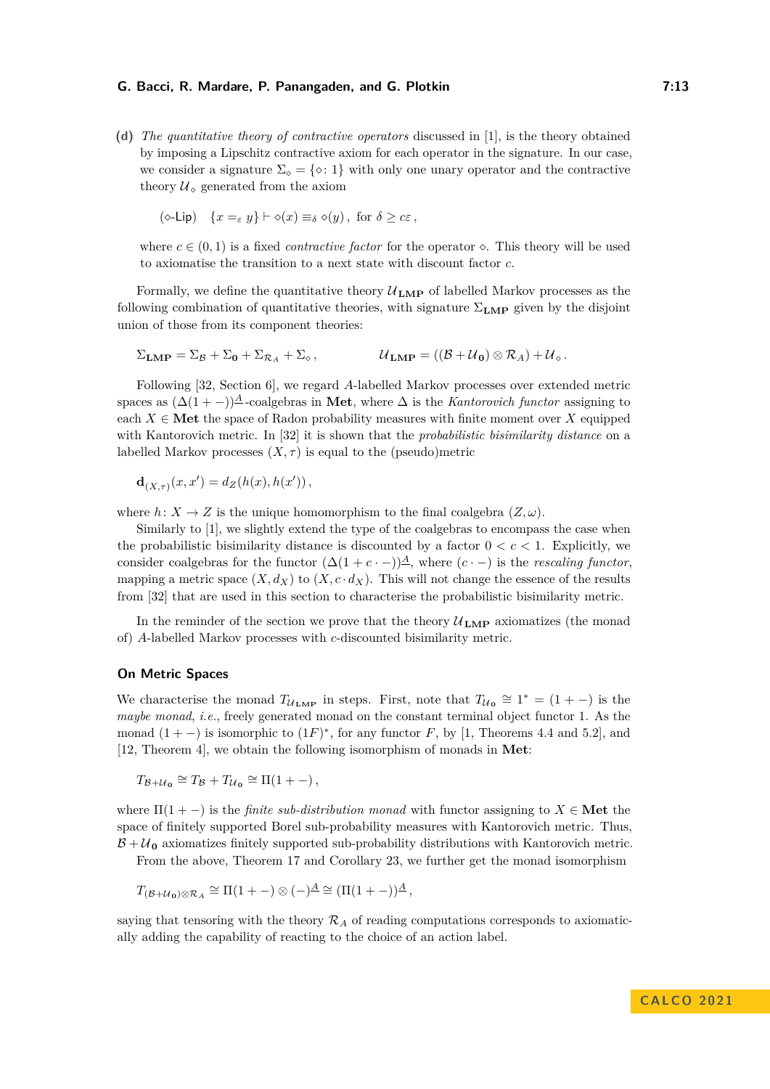**(d)** *The quantitative theory of contractive operators* discussed in [\[1\]](#page-15-5), is the theory obtained by imposing a Lipschitz contractive axiom for each operator in the signature. In our case, we consider a signature  $\Sigma_{\diamond} = {\diamond : 1}$  with only one unary operator and the contractive theory  $\mathcal{U}_{\diamond}$  generated from the axiom

$$
(\diamond-\textsf{Lip})\quad \{x =_{\varepsilon} y\} \vdash \diamond(x) \equiv_{\delta} \diamond(y), \text{ for } \delta \geq c\varepsilon\,,
$$

where  $c \in (0,1)$  is a fixed *contractive factor* for the operator  $\diamond$ . This theory will be used to axiomatise the transition to a next state with discount factor *c*.

Formally, we define the quantitative theory  $\mathcal{U}_{\text{LMP}}$  of labelled Markov processes as the following combination of quantitative theories, with signature  $\Sigma_{\text{LMP}}$  given by the disjoint union of those from its component theories:

$$
\Sigma_{\text{LMP}} = \Sigma_{\mathcal{B}} + \Sigma_{0} + \Sigma_{\mathcal{R}_{A}} + \Sigma_{\diamond}, \qquad \mathcal{U}_{\text{LMP}} = ((\mathcal{B} + \mathcal{U}_{0}) \otimes \mathcal{R}_{A}) + \mathcal{U}_{\diamond}.
$$

Following [\[32,](#page-16-6) Section 6], we regard *A*-labelled Markov processes over extended metric spaces as  $(\Delta(1 - \epsilon))^{\underline{A}}$ -coalgebras in **Met**, where  $\Delta$  is the *Kantorovich functor* assigning to each  $X \in \mathbf{Met}$  the space of Radon probability measures with finite moment over X equipped with Kantorovich metric. In [\[32\]](#page-16-6) it is shown that the *probabilistic bisimilarity distance* on a labelled Markov processes  $(X, \tau)$  is equal to the (pseudo)metric

$$
\mathbf{d}_{(X,\tau)}(x,x') = d_Z(h(x),h(x'))\,,
$$

where  $h: X \to Z$  is the unique homomorphism to the final coalgebra  $(Z, \omega)$ .

Similarly to [\[1\]](#page-15-5), we slightly extend the type of the coalgebras to encompass the case when the probabilistic bisimilarity distance is discounted by a factor  $0 < c < 1$ . Explicitly, we consider coalgebras for the functor  $(\Delta(1 + c \cdot -))$ <sup>A</sup>, where  $(c \cdot -)$  is the *rescaling functor*, mapping a metric space  $(X, d_X)$  to  $(X, c \cdot d_X)$ . This will not change the essence of the results from [\[32\]](#page-16-6) that are used in this section to characterise the probabilistic bisimilarity metric.

In the reminder of the section we prove that the theory  $\mathcal{U}_{\text{LMP}}$  axiomatizes (the monad of) *A*-labelled Markov processes with *c*-discounted bisimilarity metric.

#### <span id="page-12-0"></span>**On Metric Spaces**

We characterise the monad  $T_{U_{\text{LMP}}}$  in steps. First, note that  $T_{U_0} \cong 1^* = (1 + -)$  is the *maybe monad*, *i.e.*, freely generated monad on the constant terminal object functor 1. As the monad  $(1 + -)$  is isomorphic to  $(1F)^*$ , for any functor *F*, by [\[1,](#page-15-5) Theorems 4.4 and 5.2], and [\[12,](#page-15-3) Theorem 4], we obtain the following isomorphism of monads in **Met**:

 $T_{\mathcal{B}+\mathcal{U}_0} \cong T_{\mathcal{B}} + T_{\mathcal{U}_0} \cong \Pi(1+-),$ 

where  $\Pi(1 - \cdot)$  is the *finite sub-distribution monad* with functor assigning to  $X \in \mathbf{Met}$  the space of finitely supported Borel sub-probability measures with Kantorovich metric. Thus,  $B + U_0$  axiomatizes finitely supported sub-probability distributions with Kantorovich metric.

From the above, Theorem [17](#page-8-2) and Corollary [23,](#page-9-2) we further get the monad isomorphism

$$
T_{(\mathcal{B}+\mathcal{U}_0)\otimes \mathcal{R}_A}\cong \Pi(1+-)\otimes (-)^{\underline{A}}\cong (\Pi(1+-))^{\underline{A}},
$$

saying that tensoring with the theory  $\mathcal{R}_A$  of reading computations corresponds to axiomatically adding the capability of reacting to the choice of an action label.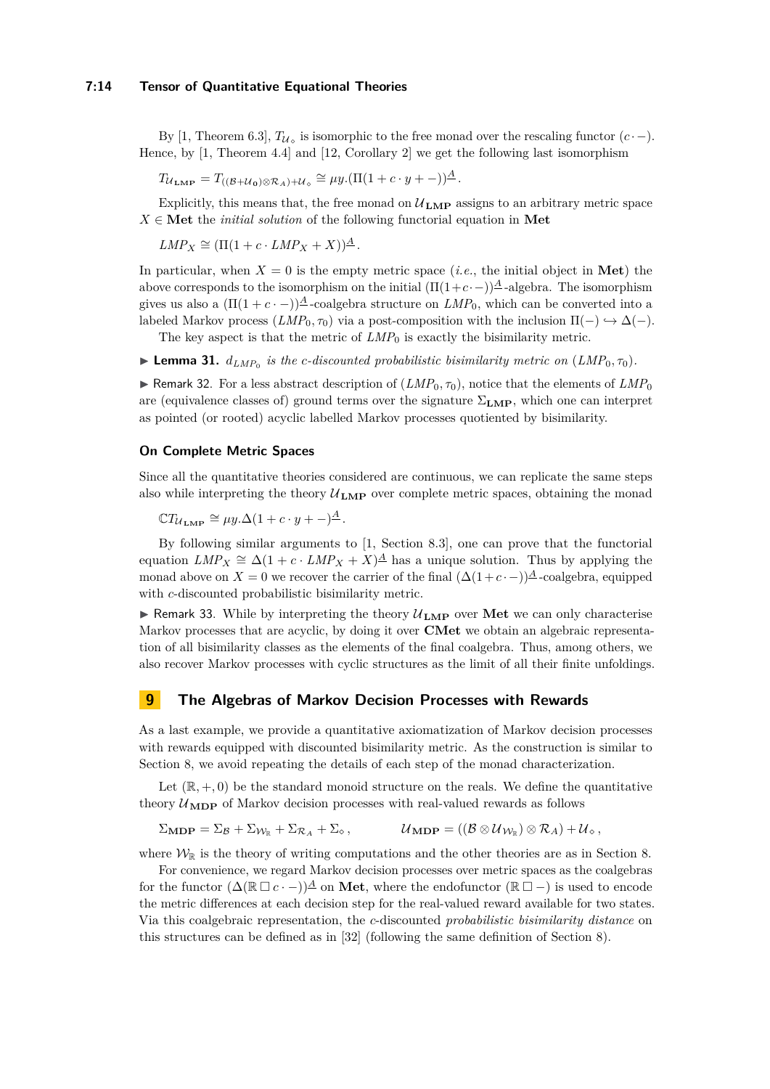#### **7:14 Tensor of Quantitative Equational Theories**

By [\[1,](#page-15-5) Theorem 6.3],  $T_{\mathcal{U}_{\diamond}}$  is isomorphic to the free monad over the rescaling functor  $(c \cdot -)$ . Hence, by [\[1,](#page-15-5) Theorem 4.4] and [\[12,](#page-15-3) Corollary 2] we get the following last isomorphism

 $T_{\mathcal{U}_{\mathbf{LMP}}} = T_{((\mathcal{B}+\mathcal{U}_0)\otimes \mathcal{R}_A)+\mathcal{U}_\diamond} \cong \mu y.(\Pi(1+c\cdot y + -))^{\underline{A}}.$ 

Explicitly, this means that, the free monad on  $\mathcal{U}_{\text{LMP}}$  assigns to an arbitrary metric space  $X \in \mathbf{Met}$  the *initial solution* of the following functorial equation in **Met** 

 $LMP_X \cong (\Pi(1 + c \cdot LMP_X + X))^{\underline{A}}$ .

In particular, when  $X = 0$  is the empty metric space (*i.e.*, the initial object in **Met**) the above corresponds to the isomorphism on the initial  $(\Pi(1+c\cdot-))^{\underline{A}}$ -algebra. The isomorphism gives us also a  $(\Pi(1 + c \cdot -))^{\underline{A}}$ -coalgebra structure on  $LMP_0$ , which can be converted into a labeled Markov process  $(LMP_0, \tau_0)$  via a post-composition with the inclusion  $\Pi(-) \hookrightarrow \Delta(-)$ .

The key aspect is that the metric of  $LMP_0$  is exactly the bisimilarity metric.

 $\blacktriangleright$  **Lemma 31.**  $d_{LMP_0}$  is the *c*-discounted probabilistic bisimilarity metric on  $(LMP_0, \tau_0)$ .

**• Remark 32.** For a less abstract description of  $(LMP_0, \tau_0)$ , notice that the elements of  $LMP_0$ are (equivalence classes of) ground terms over the signature Σ**LMP**, which one can interpret as pointed (or rooted) acyclic labelled Markov processes quotiented by bisimilarity.

# **On Complete Metric Spaces**

Since all the quantitative theories considered are continuous, we can replicate the same steps also while interpreting the theory  $\mathcal{U}_{\text{LMP}}$  over complete metric spaces, obtaining the monad

 $\mathbb{C}T_{\mathcal{U}_{\mathbf{LMP}}} \cong \mu y.\Delta(1 + c \cdot y + -)^{\underline{A}}$ .

By following similar arguments to [\[1,](#page-15-5) Section 8.3], one can prove that the functorial equation  $LMP_X \cong \Delta(1 + c \cdot LMP_X + X)^{\underline{A}}$  has a unique solution. Thus by applying the monad above on *X* = 0 we recover the carrier of the final  $(\Delta(1+c\cdot -))^{\underline{A}}$ -coalgebra, equipped with *c*-discounted probabilistic bisimilarity metric.

 $\triangleright$  Remark 33. While by interpreting the theory  $\mathcal{U}_{\text{LMP}}$  over Met we can only characterise Markov processes that are acyclic, by doing it over **CMet** we obtain an algebraic representation of all bisimilarity classes as the elements of the final coalgebra. Thus, among others, we also recover Markov processes with cyclic structures as the limit of all their finite unfoldings.

# **9 The Algebras of Markov Decision Processes with Rewards**

As a last example, we provide a quantitative axiomatization of Markov decision processes with rewards equipped with discounted bisimilarity metric. As the construction is similar to Section [8,](#page-11-1) we avoid repeating the details of each step of the monad characterization.

Let  $(\mathbb{R}, +, 0)$  be the standard monoid structure on the reals. We define the quantitative theory  $U_{\text{MDP}}$  of Markov decision processes with real-valued rewards as follows

$$
\Sigma_{\mathbf{MDP}} = \Sigma_{\mathcal{B}} + \Sigma_{\mathcal{W}_{\mathbb{R}}} + \Sigma_{\mathcal{R}_{A}} + \Sigma_{\diamond}, \qquad \mathcal{U}_{\mathbf{MDP}} = ((\mathcal{B} \otimes \mathcal{U}_{\mathcal{W}_{\mathbb{R}}}) \otimes \mathcal{R}_{A}) + \mathcal{U}_{\diamond},
$$

where  $\mathcal{W}_{\mathbb{R}}$  is the theory of writing computations and the other theories are as in Section [8.](#page-11-1)

For convenience, we regard Markov decision processes over metric spaces as the coalgebras for the functor  $(\Delta(\mathbb{R} \square c \cdot -))$ <sup> $\triangle$ </sup> on **Met**, where the endofunctor  $(\mathbb{R} \square -)$  is used to encode the metric differences at each decision step for the real-valued reward available for two states. Via this coalgebraic representation, the *c*-discounted *probabilistic bisimilarity distance* on this structures can be defined as in [\[32\]](#page-16-6) (following the same definition of Section [8\)](#page-11-1).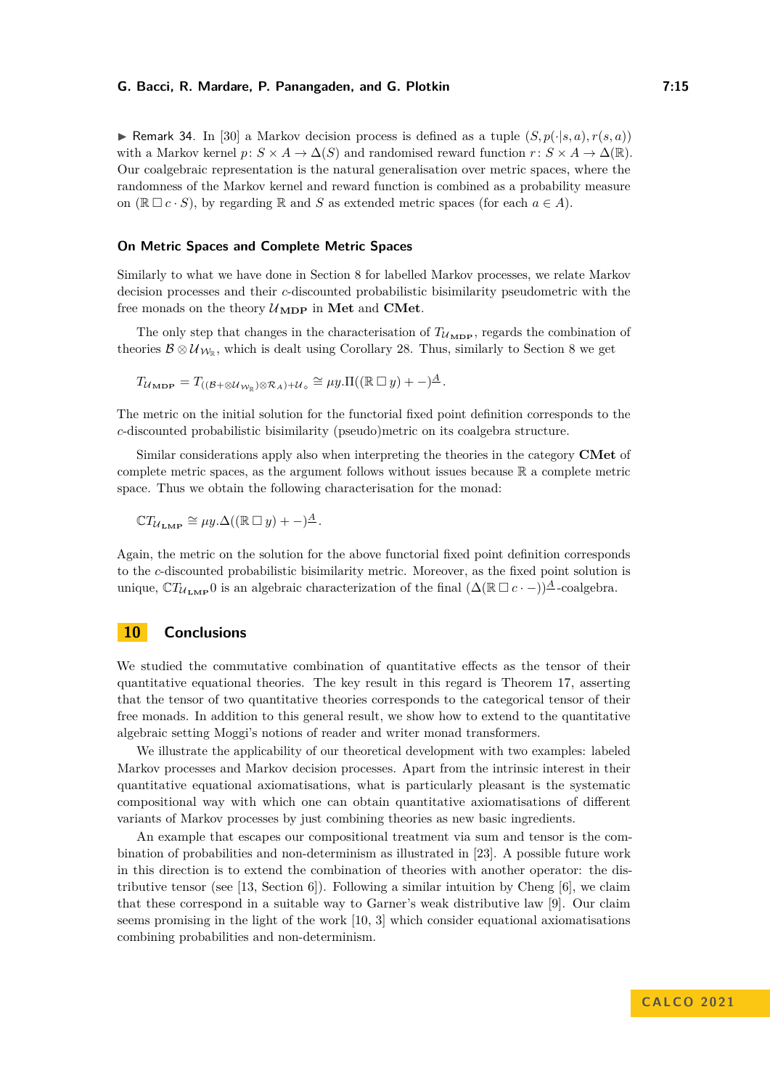$\triangleright$  Remark 34. In [\[30\]](#page-16-7) a Markov decision process is defined as a tuple  $(S, p(\cdot|s, a), r(s, a))$ with a Markov kernel  $p: S \times A \to \Delta(S)$  and randomised reward function  $r: S \times A \to \Delta(\mathbb{R})$ . Our coalgebraic representation is the natural generalisation over metric spaces, where the randomness of the Markov kernel and reward function is combined as a probability measure on ( $\mathbb{R} \square c \cdot S$ ), by regarding  $\mathbb{R}$  and *S* as extended metric spaces (for each  $a \in A$ ).

# **On Metric Spaces and Complete Metric Spaces**

Similarly to what we have done in Section [8](#page-12-0) for labelled Markov processes, we relate Markov decision processes and their *c*-discounted probabilistic bisimilarity pseudometric with the free monads on the theory  $\mathcal{U}_{\text{MDP}}$  in Met and CMet.

The only step that changes in the characterisation of  $T_{U_{\text{MDP}}}$ , regards the combination of theories  $\mathcal{B} \otimes \mathcal{U}_{\mathcal{W}_{\mathbb{R}}}$ , which is dealt using Corollary [28.](#page-11-0) Thus, similarly to Section [8](#page-11-1) we get

$$
T_{\mathcal{U}_{\mathbf{MDP}}} = T_{\left((\mathcal{B} + \otimes \mathcal{U}_{\mathcal{W}_{\mathbb{R}}}) \otimes \mathcal{R}_A\right) + \mathcal{U}_{\diamond}} \cong \mu y. \Pi\left((\mathbb{R} \square y) + -\right) \stackrel{A}{\longrightarrow}.
$$

The metric on the initial solution for the functorial fixed point definition corresponds to the *c*-discounted probabilistic bisimilarity (pseudo)metric on its coalgebra structure.

Similar considerations apply also when interpreting the theories in the category **CMet** of complete metric spaces, as the argument follows without issues because R a complete metric space. Thus we obtain the following characterisation for the monad:

$$
\mathbb{C}T_{\mathcal{U}_{\mathbf{LMP}}} \cong \mu y.\Delta((\mathbb{R}\ \square\ y) + -)^{\underline{A}}.
$$

Again, the metric on the solution for the above functorial fixed point definition corresponds to the *c*-discounted probabilistic bisimilarity metric. Moreover, as the fixed point solution is unique,  $\mathbb{C}T_{U_{\text{LMP}}}$  is an algebraic characterization of the final  $(\Delta(\mathbb{R}\square c\cdot -))^{\underline{A}}$ -coalgebra.

# **10 Conclusions**

We studied the commutative combination of quantitative effects as the tensor of their quantitative equational theories. The key result in this regard is Theorem [17,](#page-8-2) asserting that the tensor of two quantitative theories corresponds to the categorical tensor of their free monads. In addition to this general result, we show how to extend to the quantitative algebraic setting Moggi's notions of reader and writer monad transformers.

We illustrate the applicability of our theoretical development with two examples: labeled Markov processes and Markov decision processes. Apart from the intrinsic interest in their quantitative equational axiomatisations, what is particularly pleasant is the systematic compositional way with which one can obtain quantitative axiomatisations of different variants of Markov processes by just combining theories as new basic ingredients.

An example that escapes our compositional treatment via sum and tensor is the combination of probabilities and non-determinism as illustrated in [\[23\]](#page-15-9). A possible future work in this direction is to extend the combination of theories with another operator: the dis-tributive tensor (see [\[13,](#page-15-8) Section 6]). Following a similar intuition by Cheng  $[6]$ , we claim that these correspond in a suitable way to Garner's weak distributive law [\[9\]](#page-15-21). Our claim seems promising in the light of the work [\[10,](#page-15-22) [3\]](#page-15-23) which consider equational axiomatisations combining probabilities and non-determinism.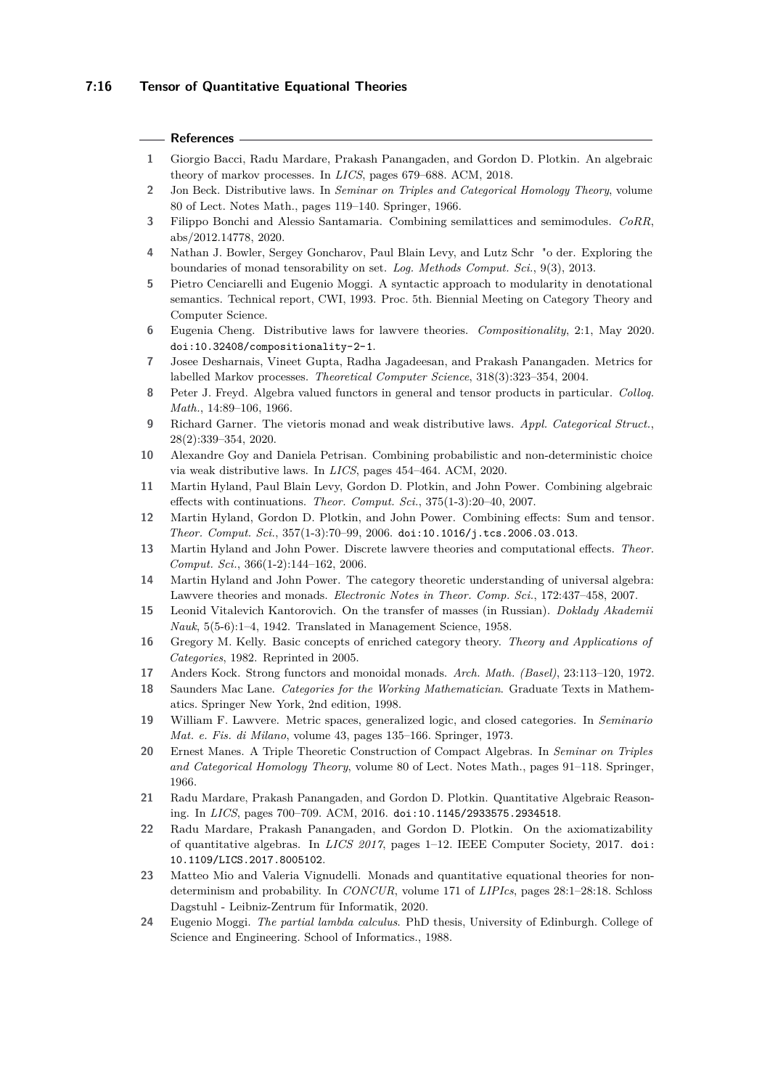## **7:16 Tensor of Quantitative Equational Theories**

## **References**

- <span id="page-15-5"></span>**1** Giorgio Bacci, Radu Mardare, Prakash Panangaden, and Gordon D. Plotkin. An algebraic theory of markov processes. In *LICS*, pages 679–688. ACM, 2018.
- <span id="page-15-18"></span>**2** Jon Beck. Distributive laws. In *Seminar on Triples and Categorical Homology Theory*, volume 80 of Lect. Notes Math., pages 119–140. Springer, 1966.
- <span id="page-15-23"></span>**3** Filippo Bonchi and Alessio Santamaria. Combining semilattices and semimodules. *CoRR*, abs/2012.14778, 2020.
- <span id="page-15-16"></span>**4** Nathan J. Bowler, Sergey Goncharov, Paul Blain Levy, and Lutz Schr "o der. Exploring the boundaries of monad tensorability on set. *Log. Methods Comput. Sci.*, 9(3), 2013.
- <span id="page-15-1"></span>**5** Pietro Cenciarelli and Eugenio Moggi. A syntactic approach to modularity in denotational semantics. Technical report, CWI, 1993. Proc. 5th. Biennial Meeting on Category Theory and Computer Science.
- <span id="page-15-20"></span>**6** Eugenia Cheng. Distributive laws for lawvere theories. *Compositionality*, 2:1, May 2020. [doi:10.32408/compositionality-2-1](https://doi.org/10.32408/compositionality-2-1).
- <span id="page-15-6"></span>**7** Josee Desharnais, Vineet Gupta, Radha Jagadeesan, and Prakash Panangaden. Metrics for labelled Markov processes. *Theoretical Computer Science*, 318(3):323–354, 2004.
- <span id="page-15-17"></span>**8** Peter J. Freyd. Algebra valued functors in general and tensor products in particular. *Colloq. Math.*, 14:89–106, 1966.
- <span id="page-15-21"></span>**9** Richard Garner. The vietoris monad and weak distributive laws. *Appl. Categorical Struct.*, 28(2):339–354, 2020.
- <span id="page-15-22"></span>**10** Alexandre Goy and Daniela Petrisan. Combining probabilistic and non-deterministic choice via weak distributive laws. In *LICS*, pages 454–464. ACM, 2020.
- <span id="page-15-7"></span>**11** Martin Hyland, Paul Blain Levy, Gordon D. Plotkin, and John Power. Combining algebraic effects with continuations. *Theor. Comput. Sci.*, 375(1-3):20–40, 2007.
- <span id="page-15-3"></span>**12** Martin Hyland, Gordon D. Plotkin, and John Power. Combining effects: Sum and tensor. *Theor. Comput. Sci.*, 357(1-3):70–99, 2006. [doi:10.1016/j.tcs.2006.03.013](https://doi.org/10.1016/j.tcs.2006.03.013).
- <span id="page-15-8"></span>**13** Martin Hyland and John Power. Discrete lawvere theories and computational effects. *Theor. Comput. Sci.*, 366(1-2):144–162, 2006.
- <span id="page-15-2"></span>**14** Martin Hyland and John Power. The category theoretic understanding of universal algebra: Lawvere theories and monads. *Electronic Notes in Theor. Comp. Sci.*, 172:437–458, 2007.
- <span id="page-15-19"></span>**15** Leonid Vitalevich Kantorovich. On the transfer of masses (in Russian). *Doklady Akademii Nauk*, 5(5-6):1–4, 1942. Translated in Management Science, 1958.
- <span id="page-15-15"></span>**16** Gregory M. Kelly. Basic concepts of enriched category theory. *Theory and Applications of Categories*, 1982. Reprinted in 2005.
- <span id="page-15-11"></span>**17** Anders Kock. Strong functors and monoidal monads. *Arch. Math. (Basel)*, 23:113–120, 1972.
- <span id="page-15-12"></span>**18** Saunders Mac Lane. *Categories for the Working Mathematician*. Graduate Texts in Mathematics. Springer New York, 2nd edition, 1998.
- <span id="page-15-10"></span>**19** William F. Lawvere. Metric spaces, generalized logic, and closed categories. In *Seminario Mat. e. Fis. di Milano*, volume 43, pages 135–166. Springer, 1973.
- <span id="page-15-14"></span>**20** Ernest Manes. A Triple Theoretic Construction of Compact Algebras. In *Seminar on Triples and Categorical Homology Theory*, volume 80 of Lect. Notes Math., pages 91–118. Springer, 1966.
- <span id="page-15-4"></span>**21** Radu Mardare, Prakash Panangaden, and Gordon D. Plotkin. Quantitative Algebraic Reasoning. In *LICS*, pages 700–709. ACM, 2016. [doi:10.1145/2933575.2934518](https://doi.org/10.1145/2933575.2934518).
- <span id="page-15-13"></span>**22** Radu Mardare, Prakash Panangaden, and Gordon D. Plotkin. On the axiomatizability of quantitative algebras. In *LICS 2017*, pages 1–12. IEEE Computer Society, 2017. [doi:](https://doi.org/10.1109/LICS.2017.8005102) [10.1109/LICS.2017.8005102](https://doi.org/10.1109/LICS.2017.8005102).
- <span id="page-15-9"></span>**23** Matteo Mio and Valeria Vignudelli. Monads and quantitative equational theories for nondeterminism and probability. In *CONCUR*, volume 171 of *LIPIcs*, pages 28:1–28:18. Schloss Dagstuhl - Leibniz-Zentrum für Informatik, 2020.
- <span id="page-15-0"></span>**24** Eugenio Moggi. *The partial lambda calculus*. PhD thesis, University of Edinburgh. College of Science and Engineering. School of Informatics., 1988.